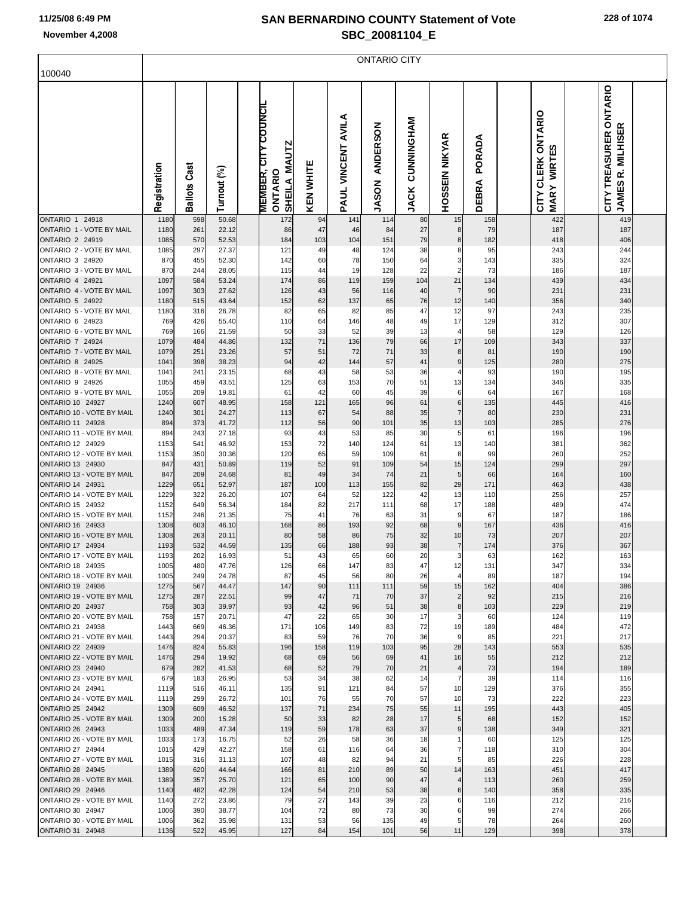ONTARIO CITY

| 100040                                             |              |                     |                |                                                               |                  |                    |                          |                           |                       |                             |                                                                          |                                                                    |  |
|----------------------------------------------------|--------------|---------------------|----------------|---------------------------------------------------------------|------------------|--------------------|--------------------------|---------------------------|-----------------------|-----------------------------|--------------------------------------------------------------------------|--------------------------------------------------------------------|--|
|                                                    | Registration | <b>Ballots Cast</b> | Turnout (%)    | <b>MEMBER, CITY COUNCIL</b><br>SHEILA MAUTZ<br><b>ONTARIO</b> | <b>KEN WHITE</b> | PAUL VINCENT AVILA | ANDERSON<br><b>JASON</b> | CUNNINGHAM<br><b>JACK</b> | <b>HOSSEIN NIKYAR</b> | PORADA<br>⋖<br><b>DEBR.</b> | <b>CLERK ONTARIO</b><br><u>ណ្ដ</u><br><b>WIRT</b><br><b>MARY</b><br>CITY | CITY TREASURER ONTARIO<br>≃<br><b>MILHISE</b><br>œ<br><b>JAMES</b> |  |
| <b>ONTARIO 1 24918</b>                             | 1180         | 598                 | 50.68          | 172                                                           | 94               | 141                | 114                      | 80                        | 15                    | 158                         | 422                                                                      | 419                                                                |  |
| ONTARIO 1 - VOTE BY MAIL<br><b>ONTARIO 2 24919</b> | 1180<br>1085 | 261<br>570          | 22.12<br>52.53 | 86<br>184                                                     | 47<br>103        | 46<br>104          | 84<br>151                | 27<br>79                  | 8<br>8                | 79<br>182                   | 187<br>418                                                               | 187<br>406                                                         |  |
| ONTARIO 2 - VOTE BY MAIL                           | 1085         | 297                 | 27.37          | 121                                                           | 49               | 48                 | 124                      | 38                        | 8                     | 95                          | 243                                                                      | 244                                                                |  |
| ONTARIO 3 24920                                    | 870          | 455                 | 52.30          | 142                                                           | 60               | 78                 | 150                      | 64                        | 3                     | 143                         | 335                                                                      | 324                                                                |  |
| ONTARIO 3 - VOTE BY MAIL                           | 870          | 244                 | 28.05          | 115                                                           | 44               | 19                 | 128                      | 22                        | $\overline{2}$        | 73                          | 186                                                                      | 187                                                                |  |
| ONTARIO 4 24921                                    | 1097         | 584                 | 53.24          | 174                                                           | 86               | 119                | 159                      | 104                       | 21                    | 134                         | 439                                                                      | 434                                                                |  |
| ONTARIO 4 - VOTE BY MAIL<br><b>ONTARIO 5 24922</b> | 1097<br>1180 | 303<br>515          | 27.62<br>43.64 | 126<br>152                                                    | 43<br>62         | 56<br>137          | 116<br>65                | 40<br>76                  | $\overline{7}$<br>12  | 90<br>140                   | 231<br>356                                                               | 231<br>340                                                         |  |
| ONTARIO 5 - VOTE BY MAIL                           | 1180         | 316                 | 26.78          | 82                                                            | 65               | 82                 | 85                       | 47                        | 12                    | 97                          | 243                                                                      | 235                                                                |  |
| ONTARIO 6 24923                                    | 769          | 426                 | 55.40          | 110                                                           | 64               | 146                | 48                       | 49                        | 17                    | 129                         | 312                                                                      | 307                                                                |  |
| ONTARIO 6 - VOTE BY MAIL                           | 769          | 166                 | 21.59          | 50                                                            | 33               | 52                 | 39                       | 13                        | $\overline{4}$        | 58                          | 129                                                                      | 126                                                                |  |
| ONTARIO 7 24924                                    | 1079         | 484                 | 44.86          | 132                                                           | 71               | 136                | 79                       | 66                        | 17                    | 109                         | 343                                                                      | 337                                                                |  |
| ONTARIO 7 - VOTE BY MAIL<br>ONTARIO 8 24925        | 1079<br>1041 | 251<br>398          | 23.26<br>38.23 | 57<br>94                                                      | 51<br>42         | 72<br>144          | 71<br>57                 | 33<br>41                  | 8<br>$\boldsymbol{9}$ | 81<br>125                   | 190<br>280                                                               | 190<br>275                                                         |  |
| ONTARIO 8 - VOTE BY MAIL                           | 1041         | 241                 | 23.15          | 68                                                            | 43               | 58                 | 53                       | 36                        | 4                     | 93                          | 190                                                                      | 195                                                                |  |
| ONTARIO 9 24926                                    | 1055         | 459                 | 43.51          | 125                                                           | 63               | 153                | 70                       | 51                        | 13                    | 134                         | 346                                                                      | 335                                                                |  |
| ONTARIO 9 - VOTE BY MAIL                           | 1055         | 209                 | 19.81          | 61                                                            | 42               | 60                 | 45                       | 39                        | 6                     | 64                          | 167                                                                      | 168                                                                |  |
| <b>ONTARIO 10 24927</b>                            | 1240         | 607                 | 48.95          | 158                                                           | 121              | 165                | 96                       | 61                        | $6\phantom{1}6$       | 135                         | 445                                                                      | 416                                                                |  |
| ONTARIO 10 - VOTE BY MAIL<br>ONTARIO 11 24928      | 1240<br>894  | 301<br>373          | 24.27<br>41.72 | 113<br>112                                                    | 67               | 54<br>90           | 88<br>101                | 35<br>35                  | $\overline{7}$<br>13  | 80                          | 230<br>285                                                               | 231<br>276                                                         |  |
| ONTARIO 11 - VOTE BY MAIL                          | 894          | 243                 | 27.18          | 93                                                            | 56<br>43         | 53                 | 85                       | 30                        | 5                     | 103<br>61                   | 196                                                                      | 196                                                                |  |
| ONTARIO 12 24929                                   | 1153         | 541                 | 46.92          | 153                                                           | 72               | 140                | 124                      | 61                        | 13                    | 140                         | 381                                                                      | 362                                                                |  |
| ONTARIO 12 - VOTE BY MAIL                          | 1153         | 350                 | 30.36          | 120                                                           | 65               | 59                 | 109                      | 61                        | 8                     | 99                          | 260                                                                      | 252                                                                |  |
| ONTARIO 13 24930                                   | 847          | 431                 | 50.89          | 119                                                           | 52               | 91                 | 109                      | 54                        | 15                    | 124                         | 299                                                                      | 297                                                                |  |
| ONTARIO 13 - VOTE BY MAIL<br>ONTARIO 14 24931      | 847<br>1229  | 209<br>651          | 24.68<br>52.97 | 81<br>187                                                     | 49               | 34                 | 74                       | 21<br>82                  | 5<br>29               | 66                          | 164                                                                      | 160                                                                |  |
| ONTARIO 14 - VOTE BY MAIL                          | 1229         | 322                 | 26.20          | 107                                                           | 100<br>64        | 113<br>52          | 155<br>122               | 42                        | 13                    | 171<br>110                  | 463<br>256                                                               | 438<br>257                                                         |  |
| ONTARIO 15 24932                                   | 1152         | 649                 | 56.34          | 184                                                           | 82               | 217                | 111                      | 68                        | 17                    | 188                         | 489                                                                      | 474                                                                |  |
| ONTARIO 15 - VOTE BY MAIL                          | 1152         | 246                 | 21.35          | 75                                                            | 41               | 76                 | 63                       | 31                        | 9                     | 67                          | 187                                                                      | 186                                                                |  |
| ONTARIO 16 24933                                   | 1308         | 603                 | 46.10          | 168                                                           | 86               | 193                | 92                       | 68                        | 9                     | 167                         | 436                                                                      | 416                                                                |  |
| ONTARIO 16 - VOTE BY MAIL                          | 1308         | 263                 | 20.11          | 80                                                            | 58               | 86                 | 75                       | 32                        | 10                    | 73                          | 207                                                                      | 207                                                                |  |
| ONTARIO 17 24934<br>ONTARIO 17 - VOTE BY MAIL      | 1193<br>1193 | 532<br>202          | 44.59<br>16.93 | 135<br>51                                                     | 66<br>43         | 188<br>65          | 93<br>60                 | 38<br>20                  | $\overline{7}$<br>3   | 174<br>63                   | 376<br>162                                                               | 367<br>163                                                         |  |
| ONTARIO 18 24935                                   | 1005         | 480                 | 47.76          | 126                                                           | 66               | 147                | 83                       | 47                        | 12                    | 131                         | 347                                                                      | 334                                                                |  |
| ONTARIO 18 - VOTE BY MAIL                          | 1005         | 249                 | 24.78          | 87                                                            | 45               | 56                 | 80                       | 26                        |                       | 89                          | 187                                                                      | 194                                                                |  |
| ONTARIO 19 24936                                   | 1275         | 567                 | 44.47          | 147                                                           | 90               | 111                | 111                      | 59                        | 15                    | 162                         | 404                                                                      | 386                                                                |  |
| ONTARIO 19 - VOTE BY MAIL                          | 1275         | 287                 | 22.51          | 99                                                            | 47               | 71                 | 70                       | 37                        | $\overline{c}$        | 92                          | 215                                                                      | 216                                                                |  |
| ONTARIO 20 24937<br>ONTARIO 20 - VOTE BY MAIL      | 758<br>758   | 303<br>157          | 39.97<br>20.71 | 93<br>47                                                      | 42<br>22         | 96<br>65           | 51<br>30                 | 38<br>17                  | $\bf8$<br>3           | 103<br>60                   | 229<br>124                                                               | 219<br>119                                                         |  |
| ONTARIO 21 24938                                   | 1443         | 669                 | 46.36          | 171                                                           | 106              | 149                | 83                       | 72                        | 19                    | 189                         | 484                                                                      | 472                                                                |  |
| ONTARIO 21 - VOTE BY MAIL                          | 1443         | 294                 | 20.37          | 83                                                            | 59               | 76                 | 70                       | 36                        | 9                     | 85                          | 221                                                                      | 217                                                                |  |
| ONTARIO 22 24939                                   | 1476         | 824                 | 55.83          | 196                                                           | 158              | 119                | 103                      | 95                        | 28                    | 143                         | 553                                                                      | 535                                                                |  |
| ONTARIO 22 - VOTE BY MAIL<br>ONTARIO 23 24940      | 1476<br>679  | 294<br>282          | 19.92<br>41.53 | 68<br>68                                                      | 69<br>52         | 56<br>79           | 69<br>70                 | 41<br>21                  | 16<br>$\overline{a}$  | 55<br>73                    | 212<br>194                                                               | 212<br>189                                                         |  |
| ONTARIO 23 - VOTE BY MAIL                          | 679          | 183                 | 26.95          | 53                                                            | 34               | 38                 | 62                       | 14                        | $\overline{7}$        | 39                          | 114                                                                      | 116                                                                |  |
| ONTARIO 24 24941                                   | 1119         | 516                 | 46.11          | 135                                                           | 91               | 121                | 84                       | 57                        | 10                    | 129                         | 376                                                                      | 355                                                                |  |
| ONTARIO 24 - VOTE BY MAIL                          | 1119         | 299                 | 26.72          | 101                                                           | 76               | 55                 | 70                       | 57                        | 10                    | 73                          | 222                                                                      | 223                                                                |  |
| <b>ONTARIO 25 24942</b>                            | 1309         | 609                 | 46.52          | 137                                                           | 71               | 234                | 75                       | 55                        | 11                    | 195                         | 443                                                                      | 405                                                                |  |
| ONTARIO 25 - VOTE BY MAIL                          | 1309         | 200                 | 15.28          | 50                                                            | 33               | 82                 | 28                       | 17                        | 5                     | 68                          | 152                                                                      | 152                                                                |  |
| ONTARIO 26 24943<br>ONTARIO 26 - VOTE BY MAIL      | 1033<br>1033 | 489<br>173          | 47.34<br>16.75 | 119<br>52                                                     | 59<br>26         | 178<br>58          | 63<br>36                 | 37<br>18                  | $\boldsymbol{9}$      | 138<br>60                   | 349<br>125                                                               | 321<br>125                                                         |  |
| ONTARIO 27 24944                                   | 1015         | 429                 | 42.27          | 158                                                           | 61               | 116                | 64                       | 36                        | $\overline{7}$        | 118                         | 310                                                                      | 304                                                                |  |
| ONTARIO 27 - VOTE BY MAIL                          | 1015         | 316                 | 31.13          | 107                                                           | 48               | 82                 | 94                       | 21                        | 5                     | 85                          | 226                                                                      | 228                                                                |  |
| <b>ONTARIO 28 24945</b>                            | 1389         | 620                 | 44.64          | 166                                                           | 81               | 210                | 89                       | 50                        | 14                    | 163                         | 451                                                                      | 417                                                                |  |
| ONTARIO 28 - VOTE BY MAIL                          | 1389         | 357                 | 25.70          | 121                                                           | 65               | 100                | 90                       | 47                        | $\overline{4}$        | 113                         | 260                                                                      | 259                                                                |  |
| ONTARIO 29 24946<br>ONTARIO 29 - VOTE BY MAIL      | 1140         | 482<br>272          | 42.28          | 124<br>79                                                     | 54<br>27         | 210                | 53<br>39                 | 38<br>23                  | $6\phantom{1}6$<br>6  | 140                         | 358                                                                      | 335                                                                |  |
| ONTARIO 30 24947                                   | 1140<br>1006 | 390                 | 23.86<br>38.77 | 104                                                           | 72               | 143<br>80          | 73                       | 30                        | 6                     | 116<br>99                   | 212<br>274                                                               | 216<br>266                                                         |  |
| ONTARIO 30 - VOTE BY MAIL                          | 1006         | 362                 | 35.98          | 131                                                           | 53               | 56                 | 135                      | 49                        | 5                     | 78                          | 264                                                                      | 260                                                                |  |
| ONTARIO 31 24948                                   | 1136         | 522                 | 45.95          | 127                                                           | 84               | 154                | 101                      | 56                        | 11                    | 129                         | 398                                                                      | 378                                                                |  |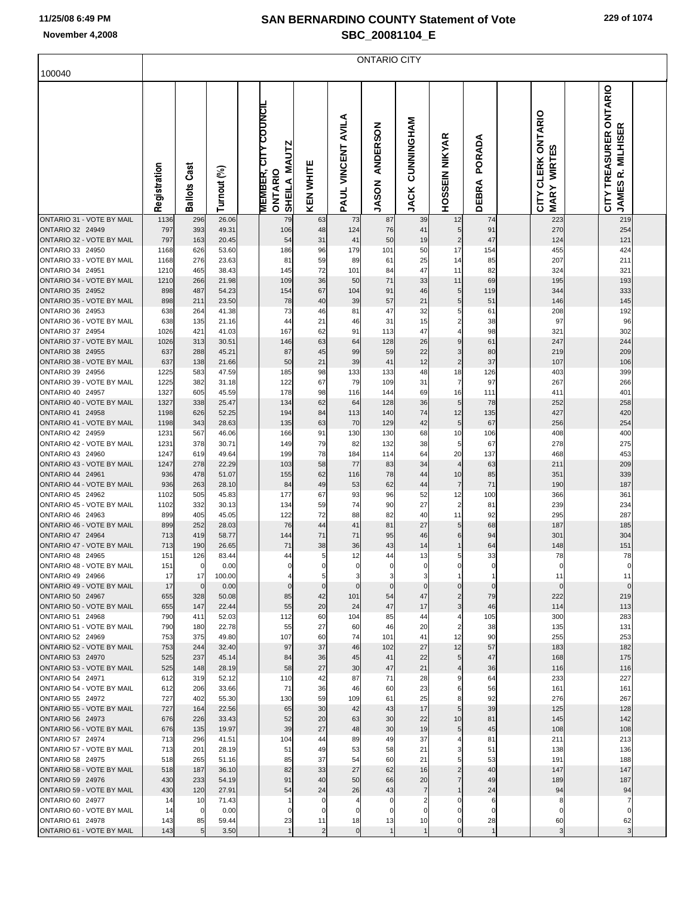|                                               | <b>ONTARIO CITY</b> |                      |                |  |                                                        |                         |                    |                                 |                           |                                  |                 |  |                                   |  |                                                                |  |
|-----------------------------------------------|---------------------|----------------------|----------------|--|--------------------------------------------------------|-------------------------|--------------------|---------------------------------|---------------------------|----------------------------------|-----------------|--|-----------------------------------|--|----------------------------------------------------------------|--|
| 100040                                        |                     |                      |                |  |                                                        |                         |                    |                                 |                           |                                  |                 |  |                                   |  |                                                                |  |
|                                               | Registration        | <b>Ballots Cast</b>  | Turnout (%)    |  | <b>MEMBER, CITY COUNCIL</b><br>SHEILA MAUTZ<br>ONTARIO | <b>KEN WHITE</b>        | PAUL VINCENT AVILA | <b>ANDERSON</b><br><b>JASON</b> | CUNNINGHAM<br><b>JACK</b> | HOSSEIN NIKYAR                   | PORADA<br>DEBRA |  | CITY CLERK ONTARIO<br>MARY WIRTES |  | CITY TREASURER ONTARIO<br><b>MILHISER</b><br>œ<br><b>JAMES</b> |  |
| ONTARIO 31 - VOTE BY MAIL<br>ONTARIO 32 24949 | 1136<br>797         | 296<br>393           | 26.06          |  | 79<br>106                                              | 63                      | 73                 | 87                              | 39                        | 12                               | 74              |  | 223<br>270                        |  | 219                                                            |  |
| ONTARIO 32 - VOTE BY MAIL                     | 797                 | 163                  | 49.31<br>20.45 |  | 54                                                     | 48<br>31                | 124<br>41          | 76<br>50                        | 41<br>19                  | 5<br>$\overline{\mathbf{c}}$     | 91<br>47        |  | 124                               |  | 254<br>121                                                     |  |
| ONTARIO 33 24950                              | 1168                | 626                  | 53.60          |  | 186                                                    | 96                      | 179                | 101                             | 50                        | 17                               | 154             |  | 455                               |  | 424                                                            |  |
| ONTARIO 33 - VOTE BY MAIL<br>ONTARIO 34 24951 | 1168                | 276<br>465           | 23.63          |  | 81                                                     | 59                      | 89                 | 61                              | 25<br>47                  | 14                               | 85<br>82        |  | 207<br>324                        |  | 211<br>321                                                     |  |
| ONTARIO 34 - VOTE BY MAIL                     | 1210<br>1210        | 266                  | 38.43<br>21.98 |  | 145<br>109                                             | 72<br>36                | 101<br>50          | 84<br>71                        | 33                        | 11<br>11                         | 69              |  | 195                               |  | 193                                                            |  |
| ONTARIO 35 24952                              | 898                 | 487                  | 54.23          |  | 154                                                    | 67                      | 104                | 91                              | 46                        | $5\overline{)}$                  | 119             |  | 344                               |  | 333                                                            |  |
| ONTARIO 35 - VOTE BY MAIL                     | 898                 | 211                  | 23.50          |  | 78                                                     | 40                      | 39                 | 57                              | 21                        | $5\vert$                         | 51              |  | 146                               |  | 145                                                            |  |
| ONTARIO 36 24953<br>ONTARIO 36 - VOTE BY MAIL | 638<br>638          | 264<br>135           | 41.38<br>21.16 |  | 73<br>44                                               | 46<br>21                | 81<br>46           | 47<br>31                        | 32<br>15                  | 5<br>$\overline{\mathbf{c}}$     | 61<br>38        |  | 208<br>97                         |  | 192<br>96                                                      |  |
| ONTARIO 37 24954                              | 1026                | 421                  | 41.03          |  | 167                                                    | 62                      | 91                 | 113                             | 47                        | 4                                | 98              |  | 321                               |  | 302                                                            |  |
| ONTARIO 37 - VOTE BY MAIL                     | 1026                | 313                  | 30.51          |  | 146                                                    | 63                      | 64                 | 128                             | 26                        | $\boldsymbol{9}$                 | 61              |  | 247                               |  | 244                                                            |  |
| ONTARIO 38 24955<br>ONTARIO 38 - VOTE BY MAIL | 637<br>637          | 288<br>138           | 45.21          |  | 87<br>50                                               | 45<br>21                | 99<br>39           | 59<br>41                        | 22<br>12                  | 3<br>$\overline{c}$              | 80<br>37        |  | 219<br>107                        |  | 209<br>106                                                     |  |
| ONTARIO 39 24956                              | 1225                | 583                  | 21.66<br>47.59 |  | 185                                                    | 98                      | 133                | 133                             | 48                        | 18                               | 126             |  | 403                               |  | 399                                                            |  |
| ONTARIO 39 - VOTE BY MAIL                     | 1225                | 382                  | 31.18          |  | 122                                                    | 67                      | 79                 | 109                             | 31                        | $\overline{7}$                   | 97              |  | 267                               |  | 266                                                            |  |
| ONTARIO 40 24957                              | 1327                | 605                  | 45.59          |  | 178                                                    | 98                      | 116                | 144                             | 69                        | 16                               | 111             |  | 411                               |  | 401                                                            |  |
| ONTARIO 40 - VOTE BY MAIL<br>ONTARIO 41 24958 | 1327<br>1198        | 338<br>626           | 25.47<br>52.25 |  | 134<br>194                                             | 62<br>84                | 64<br>113          | 128<br>140                      | 36<br>74                  | 5 <sub>5</sub><br>12             | 78<br>135       |  | 252<br>427                        |  | 258<br>420                                                     |  |
| ONTARIO 41 - VOTE BY MAIL                     | 1198                | 343                  | 28.63          |  | 135                                                    | 63                      | 70                 | 129                             | 42                        | 5 <sub>5</sub>                   | 67              |  | 256                               |  | 254                                                            |  |
| ONTARIO 42 24959                              | 1231                | 567                  | 46.06          |  | 166                                                    | 91                      | 130                | 130                             | 68                        | 10                               | 106             |  | 408                               |  | 400                                                            |  |
| ONTARIO 42 - VOTE BY MAIL<br>ONTARIO 43 24960 | 1231<br>1247        | 378<br>619           | 30.71<br>49.64 |  | 149<br>199                                             | 79<br>78                | 82<br>184          | 132<br>114                      | 38<br>64                  | 5<br>20                          | 67<br>137       |  | 278<br>468                        |  | 275<br>453                                                     |  |
| ONTARIO 43 - VOTE BY MAIL                     | 1247                | 278                  | 22.29          |  | 103                                                    | 58                      | 77                 | 83                              | 34                        | $\overline{\mathcal{L}}$         | 63              |  | 211                               |  | 209                                                            |  |
| ONTARIO 44 24961                              | 936                 | 478                  | 51.07          |  | 155                                                    | 62                      | 116                | 78                              | 44                        | 10                               | 85              |  | 351                               |  | 339                                                            |  |
| ONTARIO 44 - VOTE BY MAIL<br>ONTARIO 45 24962 | 936<br>1102         | 263<br>505           | 28.10          |  | 84<br>177                                              | 49<br>67                | 53                 | 62<br>96                        | 44                        | $\overline{7}$<br>12             | $71$<br>100     |  | 190                               |  | 187<br>361                                                     |  |
| ONTARIO 45 - VOTE BY MAIL                     | 1102                | 332                  | 45.83<br>30.13 |  | 134                                                    | 59                      | 93<br>74           | 90                              | 52<br>27                  | $\overline{\mathbf{c}}$          | 81              |  | 366<br>239                        |  | 234                                                            |  |
| ONTARIO 46 24963                              | 899                 | 405                  | 45.05          |  | 122                                                    | 72                      | 88                 | 82                              | 40                        | 11                               | 92              |  | 295                               |  | 287                                                            |  |
| ONTARIO 46 - VOTE BY MAIL                     | 899                 | 252                  | 28.03          |  | 76                                                     | 44                      | 41                 | 81                              | 27                        | 5 <sub>5</sub>                   | 68              |  | 187                               |  | 185                                                            |  |
| ONTARIO 47 24964<br>ONTARIO 47 - VOTE BY MAIL | 713<br>713          | 419<br>190           | 58.77<br>26.65 |  | 144<br>71                                              | 71<br>38                | 71<br>36           | 95<br>43                        | 46<br>14                  | 6<br>1                           | 94<br>64        |  | 301<br>148                        |  | 304<br>151                                                     |  |
| ONTARIO 48 24965                              | 151                 | 126                  | 83.44          |  | 44                                                     | 5                       | 12                 | 44                              | 13                        | 5 <sub>5</sub>                   | 33              |  | 78                                |  | 78                                                             |  |
| ONTARIO 48 - VOTE BY MAIL                     | 151                 | $\overline{0}$       | 0.00           |  |                                                        | $\mathbf 0$             | $\mathbf{0}$       | 0                               | $\mathbf{0}$              | 0                                | 0               |  | 0                                 |  |                                                                |  |
| ONTARIO 49 24966<br>ONTARIO 49 - VOTE BY MAIL | 17<br>17            | 17<br>$\mathbf 0$    | 100.00<br>0.00 |  | $\Omega$                                               | 5<br>$\mathbf 0$        | 3<br>$\mathbf 0$   | $\mathbf 0$                     | 3<br>$\mathbf 0$          | $\mathbf{0}$                     | $\mathbf 0$     |  | 11                                |  | 11                                                             |  |
| ONTARIO 50 24967                              | 655                 | 328                  | 50.08          |  | 85                                                     | 42                      | 101                | 54                              | 47                        | $\overline{c}$                   | 79              |  | 222                               |  | 219                                                            |  |
| ONTARIO 50 - VOTE BY MAIL                     | 655                 | 147                  | 22.44          |  | 55                                                     | 20                      | 24                 | 47                              | 17                        | $\overline{\mathbf{3}}$          | 46              |  | 114                               |  | 113                                                            |  |
| ONTARIO 51 24968<br>ONTARIO 51 - VOTE BY MAIL | 790<br>790          | 411<br>180           | 52.03<br>22.78 |  | 112<br>55                                              | 60<br>27                | 104<br>60          | 85<br>46                        | 44<br>20                  | $\overline{4}$<br>$\overline{c}$ | 105<br>38       |  | 300<br>135                        |  | 283<br>131                                                     |  |
| ONTARIO 52 24969                              | 753                 | 375                  | 49.80          |  | 107                                                    | 60                      | 74                 | 101                             | 41                        | 12                               | 90              |  | 255                               |  | 253                                                            |  |
| ONTARIO 52 - VOTE BY MAIL                     | 753                 | 244                  | 32.40          |  | 97                                                     | 37                      | 46                 | 102                             | 27                        | 12                               | 57              |  | 183                               |  | 182                                                            |  |
| ONTARIO 53 24970<br>ONTARIO 53 - VOTE BY MAIL | 525<br>525          | 237<br>148           | 45.14<br>28.19 |  | 84<br>58                                               | 36<br>27                | 45<br>30           | 41<br>47                        | 22<br>21                  | 5 <sub>5</sub><br>4              | 47<br>36        |  | 168<br>116                        |  | 175<br>116                                                     |  |
| ONTARIO 54 24971                              | 612                 | 319                  | 52.12          |  | 110                                                    | 42                      | 87                 | 71                              | 28                        | 9                                | 64              |  | 233                               |  | 227                                                            |  |
| ONTARIO 54 - VOTE BY MAIL                     | 612                 | 206                  | 33.66          |  | 71                                                     | 36                      | 46                 | 60                              | 23                        | 6                                | 56              |  | 161                               |  | 161                                                            |  |
| ONTARIO 55 24972<br>ONTARIO 55 - VOTE BY MAIL | 727<br>727          | 402<br>164           | 55.30<br>22.56 |  | 130<br>65                                              | 59<br>30                | 109<br>42          | 61<br>43                        | 25<br>17                  | 8<br>5                           | 92<br>39        |  | 276<br>125                        |  | 267<br>128                                                     |  |
| ONTARIO 56 24973                              | 676                 | 226                  | 33.43          |  | 52                                                     | 20                      | 63                 | 30                              | 22                        | 10                               | 81              |  | 145                               |  | 142                                                            |  |
| ONTARIO 56 - VOTE BY MAIL                     | 676                 | 135                  | 19.97          |  | 39                                                     | 27                      | 48                 | 30                              | 19                        | 5 <sub>5</sub>                   | 45              |  | 108                               |  | 108                                                            |  |
| ONTARIO 57 24974                              | 713                 | 296                  | 41.51          |  | 104                                                    | 44                      | 89                 | 49                              | 37                        | 4                                | 81              |  | 211                               |  | 213                                                            |  |
| ONTARIO 57 - VOTE BY MAIL<br>ONTARIO 58 24975 | 713<br>518          | 201<br>265           | 28.19<br>51.16 |  | 51<br>85                                               | 49<br>37                | 53<br>54           | 58<br>60                        | 21<br>21                  | 3<br>5                           | 51<br>53        |  | 138<br>191                        |  | 136<br>188                                                     |  |
| ONTARIO 58 - VOTE BY MAIL                     | 518                 | 187                  | 36.10          |  | 82                                                     | 33                      | 27                 | 62                              | 16                        | $\overline{2}$                   | 40              |  | 147                               |  | 147                                                            |  |
| ONTARIO 59 24976                              | 430                 | 233                  | 54.19          |  | 91                                                     | 40                      | 50                 | 66                              | 20                        | $\overline{7}$                   | 49              |  | 189                               |  | 187                                                            |  |
| ONTARIO 59 - VOTE BY MAIL                     | 430                 | 120                  | 27.91          |  | 54                                                     | 24                      | 26                 | 43                              | $\overline{7}$            |                                  | 24              |  | 94                                |  | 94                                                             |  |
| ONTARIO 60 24977<br>ONTARIO 60 - VOTE BY MAIL | 14<br>14            | 10<br>$\overline{0}$ | 71.43<br>0.00  |  | 0                                                      | $\mathbf 0$<br>$\Omega$ | 4<br>0             | $\Omega$                        | $\overline{c}$<br>0       | 0<br>0                           | 6<br>0          |  | C                                 |  |                                                                |  |
| ONTARIO 61 24978                              | 143                 | 85                   | 59.44          |  | 23                                                     | 11                      | 18                 | 13                              | 10                        | $\mathbf 0$                      | 28              |  | 60                                |  | 62                                                             |  |
| ONTARIO 61 - VOTE BY MAIL                     | 143                 | 5                    | 3.50           |  | $\overline{1}$                                         | 2                       | $\circ$            | $\mathbf{1}$                    | $\mathbf{1}$              | $\mathbf 0$                      | $\mathbf{1}$    |  | 3                                 |  | 3                                                              |  |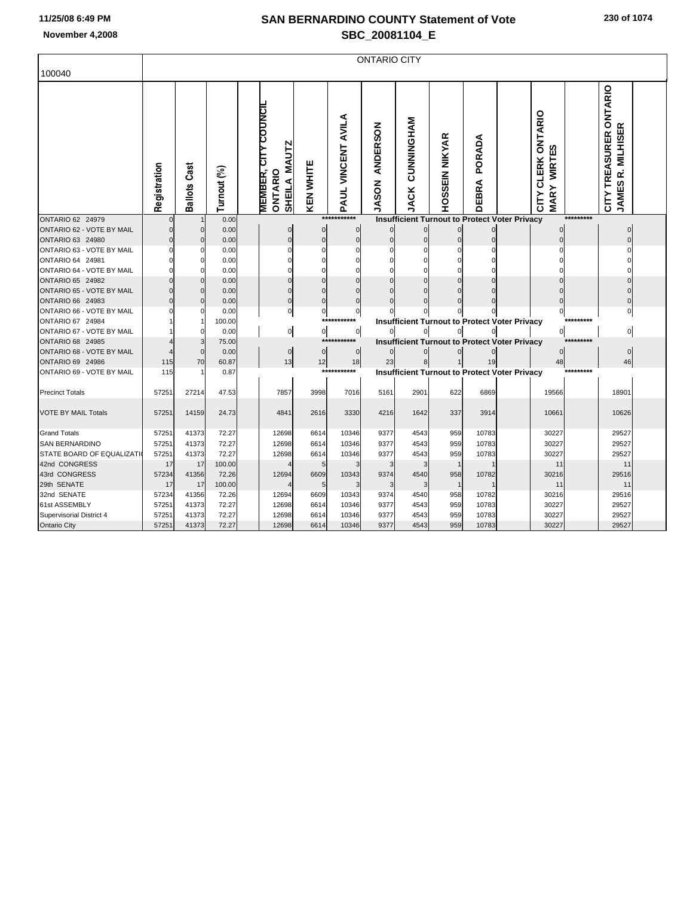| 100040                     | <b>ONTARIO CITY</b> |                     |             |  |                                                                         |                  |                    |                                 |                                  |                |                 |                                                      |                                                                     |           |                                             |  |
|----------------------------|---------------------|---------------------|-------------|--|-------------------------------------------------------------------------|------------------|--------------------|---------------------------------|----------------------------------|----------------|-----------------|------------------------------------------------------|---------------------------------------------------------------------|-----------|---------------------------------------------|--|
|                            | Registration        | <b>Ballots Cast</b> | Turnout (%) |  | <b>MEMBER, CITY COUNCIL</b><br><b>MAUTZ</b><br>ONTARIO<br><b>SHEILA</b> | <b>KEN WHITE</b> | PAUL VINCENT AVILA | <b>ANDERSON</b><br><b>JASON</b> | <b>NAHONINAHO</b><br><b>JACK</b> | HOSSEIN NIKYAR | PORADA<br>DEBRA |                                                      | <b>CLERK ONTARIO</b><br><b>WIRTES</b><br><b>MARY</b><br><b>CITY</b> |           | CITY TREASURER ONTARIO<br>JAMES R. MILHISER |  |
| ONTARIO 62 24979           | $\Omega$            |                     | 0.00        |  |                                                                         |                  | ***********        |                                 |                                  |                |                 | <b>Insufficient Turnout to Protect Voter Privacy</b> |                                                                     | ********* |                                             |  |
| ONTARIO 62 - VOTE BY MAIL  | O                   | $\mathbf 0$         | 0.00        |  | 0                                                                       | 0                | 0                  | $\bf{0}$                        | $\Omega$                         | $\Omega$       |                 |                                                      |                                                                     |           |                                             |  |
| ONTARIO 63 24980           |                     | $\Omega$            | 0.00        |  | $\Omega$                                                                | $\mathbf 0$      | $\Omega$           | $\mathbf 0$                     | $\Omega$                         | $\sqrt{ }$     | $\Omega$        |                                                      |                                                                     |           |                                             |  |
| ONTARIO 63 - VOTE BY MAIL  |                     | $\Omega$            | 0.00        |  | ŋ                                                                       | O                |                    | $\Omega$                        |                                  | $\mathcal{C}$  |                 |                                                      |                                                                     |           |                                             |  |
| ONTARIO 64 24981           |                     | 0                   | 0.00        |  |                                                                         |                  |                    | $\Omega$                        |                                  | C              |                 |                                                      |                                                                     |           |                                             |  |
| ONTARIO 64 - VOTE BY MAIL  |                     | $\Omega$            | 0.00        |  | O                                                                       | ŋ                |                    | $\Omega$                        |                                  |                |                 |                                                      |                                                                     |           |                                             |  |
| <b>ONTARIO 65 24982</b>    |                     | $\mathbf 0$         | 0.00        |  |                                                                         | $\Omega$         | $\Omega$           | $\Omega$                        |                                  |                |                 |                                                      |                                                                     |           |                                             |  |
| ONTARIO 65 - VOTE BY MAIL  |                     | $\Omega$            | 0.00        |  | 0                                                                       | $\Omega$         |                    |                                 |                                  |                |                 |                                                      |                                                                     |           |                                             |  |
| ONTARIO 66 24983           |                     | $\Omega$            | 0.00        |  | $\Omega$                                                                | $\Omega$         | $\Omega$           | $\Omega$                        | $\cap$                           | ſ              |                 |                                                      |                                                                     |           |                                             |  |
| ONTARIO 66 - VOTE BY MAIL  |                     | $\Omega$            | 0.00        |  | $\mathbf{0}$                                                            | $\overline{0}$   | 0                  | $\Omega$                        |                                  |                |                 |                                                      | 0                                                                   |           |                                             |  |
| ONTARIO 67 24984           |                     |                     | 100.00      |  |                                                                         |                  | ***********        |                                 |                                  |                |                 | <b>Insufficient Turnout to Protect Voter Privacy</b> |                                                                     | ********* |                                             |  |
| ONTARIO 67 - VOTE BY MAIL  |                     | $\Omega$            | 0.00        |  | $\mathsf{o}$                                                            | 이                | 0                  |                                 |                                  |                |                 |                                                      | 0                                                                   |           | $\Omega$                                    |  |
| <b>ONTARIO 68 24985</b>    |                     | 3                   | 75.00       |  |                                                                         |                  | ****               |                                 |                                  |                |                 | <b>Insufficient Turnout to Protect Voter Privacy</b> |                                                                     | ********* |                                             |  |
| ONTARIO 68 - VOTE BY MAIL  |                     | $\mathbf 0$         | 0.00        |  | $\mathbf 0$                                                             | $\mathbf 0$      | $\mathbf 0$        |                                 |                                  |                |                 |                                                      | O                                                                   |           | $\Omega$                                    |  |
| ONTARIO 69 24986           | 115                 | 70                  | 60.87       |  | 13                                                                      | 12               | 18<br>***********  | 23                              | 8                                |                | 19              |                                                      | 48                                                                  | ********* | 46                                          |  |
| ONTARIO 69 - VOTE BY MAIL  | 115                 | -1                  | 0.87        |  |                                                                         |                  |                    |                                 |                                  |                |                 | <b>Insufficient Turnout to Protect Voter Privacy</b> |                                                                     |           |                                             |  |
| <b>Precinct Totals</b>     | 57251               | 27214               | 47.53       |  | 7857                                                                    | 3998             | 7016               | 5161                            | 2901                             | 622            | 6869            |                                                      | 19566                                                               |           | 18901                                       |  |
| <b>VOTE BY MAIL Totals</b> | 57251               | 14159               | 24.73       |  | 4841                                                                    | 2616             | 3330               | 4216                            | 1642                             | 337            | 3914            |                                                      | 10661                                                               |           | 10626                                       |  |
| <b>Grand Totals</b>        | 57251               | 41373               | 72.27       |  | 12698                                                                   | 6614             | 10346              | 9377                            | 4543                             | 959            | 10783           |                                                      | 30227                                                               |           | 29527                                       |  |
| <b>SAN BERNARDINO</b>      | 57251               | 41373               | 72.27       |  | 12698                                                                   | 6614             | 10346              | 9377                            | 4543                             | 959            | 10783           |                                                      | 30227                                                               |           | 29527                                       |  |
| STATE BOARD OF EQUALIZATI  | 57251               | 41373               | 72.27       |  | 12698                                                                   | 6614             | 10346              | 9377                            | 4543                             | 959            | 10783           |                                                      | 30227                                                               |           | 29527                                       |  |
| 42nd CONGRESS              | 17                  | 17                  | 100.00      |  |                                                                         | 5                |                    | 3                               |                                  | $\overline{1}$ |                 |                                                      | 11                                                                  |           | 11                                          |  |
| 43rd CONGRESS              | 57234               | 41356               | 72.26       |  | 12694                                                                   | 6609             | 10343              | 9374                            | 4540                             | 958            | 10782           |                                                      | 30216                                                               |           | 29516                                       |  |
| 29th SENATE                | 17                  | 17                  | 100.00      |  |                                                                         | 5                |                    | 3                               |                                  |                |                 |                                                      | 11                                                                  |           | 11                                          |  |
| 32nd SENATE                | 57234               | 41356               | 72.26       |  | 12694                                                                   | 6609             | 10343              | 9374                            | 4540                             | 958            | 10782           |                                                      | 30216                                                               |           | 29516                                       |  |
| 61st ASSEMBLY              | 57251               | 41373               | 72.27       |  | 12698                                                                   | 6614             | 10346              | 9377                            | 4543                             | 959            | 10783           |                                                      | 30227                                                               |           | 29527                                       |  |
| Supervisorial District 4   | 57251               | 41373               | 72.27       |  | 12698                                                                   | 6614             | 10346              | 9377                            | 4543                             | 959            | 10783           |                                                      | 30227                                                               |           | 29527                                       |  |
| Ontario City               | 57251               | 41373               | 72.27       |  | 12698                                                                   | 6614             | 10346              | 9377                            | 4543                             | 959            | 10783           |                                                      | 30227                                                               |           | 29527                                       |  |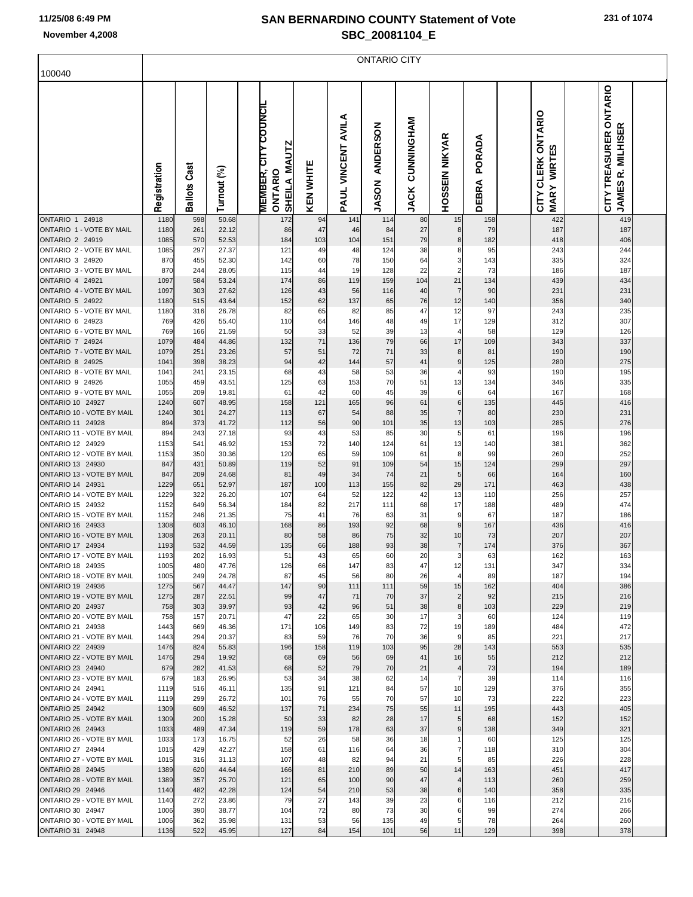# **SAN BERNARDINO COUNTY Statement of Vote**

|  | 231 of 1074 |  |
|--|-------------|--|
|  |             |  |

| November 4,2008                                    | SBC 20081104 E<br><b>ONTARIO CITY</b> |                 |                |                                                               |           |                    |                                 |                           |                       |                        |                                                |                                                                    |            |  |
|----------------------------------------------------|---------------------------------------|-----------------|----------------|---------------------------------------------------------------|-----------|--------------------|---------------------------------|---------------------------|-----------------------|------------------------|------------------------------------------------|--------------------------------------------------------------------|------------|--|
|                                                    |                                       |                 |                |                                                               |           |                    |                                 |                           |                       |                        |                                                |                                                                    |            |  |
| 100040                                             |                                       |                 |                |                                                               |           |                    |                                 |                           |                       |                        |                                                |                                                                    |            |  |
|                                                    | Registration                          | Cast<br>Ballots | Turnout (%)    | <b>MEMBER, CITY COUNCIL</b><br>SHEILA MAUTZ<br><b>ONTARIO</b> | KEN WHITE | PAUL VINCENT AVILA | <b>ANDERSON</b><br><b>JASON</b> | CUNNINGHAM<br><b>JACK</b> | <b>HOSSEIN NIKYAR</b> | PORADA<br><b>DEBRA</b> | CLERK ONTARIO<br>WIRTES<br><b>MARY</b><br>CITY | ONTARIO<br>R. MILHISER<br><b>TREASURER</b><br><b>JAMES</b><br>CITY |            |  |
| ONTARIO 1 24918<br>ONTARIO 1 - VOTE BY MAIL        | 1180<br>1180                          | 598<br>261      | 50.68<br>22.12 | 172<br>86                                                     | 94<br>47  | 141<br>46          | 114<br>84                       | 80<br>27                  | 15<br>8               | 158<br>79              | 422<br>187                                     |                                                                    | 419<br>187 |  |
| ONTARIO 2 24919                                    | 1085                                  | 570             | 52.53          | 184                                                           | 103       | 104                | 151                             | 79                        | 8                     | 182                    | 418                                            |                                                                    | 406        |  |
| ONTARIO 2 - VOTE BY MAIL<br>ONTARIO 3 24920        | 1085<br>870                           | 297             | 27.37<br>52.30 | 121                                                           | 49        | 48<br>78           | 124<br>150                      | 38<br>64                  | 8<br>3                | 95<br>143              | 243<br>335                                     |                                                                    | 244<br>324 |  |
| ONTARIO 3 - VOTE BY MAIL                           | 870                                   | 455<br>244      | 28.05          | 142<br>115                                                    | 60<br>44  | 19                 | 128                             | 22                        | $\overline{2}$        | 73                     | 186                                            |                                                                    | 187        |  |
| ONTARIO 4 24921                                    | 1097                                  | 584             | 53.24          | 174                                                           | 86        | 119                | 159                             | 104                       | 21                    | 134                    | 439                                            |                                                                    | 434        |  |
| ONTARIO 4 - VOTE BY MAIL                           | 1097                                  | 303             | 27.62          | 126                                                           | 43        | 56                 | 116                             | 40                        | $\overline{7}$        | 90                     | 231                                            | 231                                                                |            |  |
| <b>ONTARIO 5 24922</b><br>ONTARIO 5 - VOTE BY MAIL | 1180<br>1180                          | 515<br>316      | 43.64<br>26.78 | 152<br>82                                                     | 62<br>65  | 137<br>82          | 65<br>85                        | 76<br>47                  | 12<br>12              | 140<br>97              | 356<br>243                                     |                                                                    | 340<br>235 |  |
| ONTARIO 6 24923                                    | 769                                   | 426             | 55.40          | 110                                                           | 64        | 146                | 48                              | 49                        | 17                    | 129                    | 312                                            |                                                                    | 307        |  |
| ONTARIO 6 - VOTE BY MAIL                           | 769                                   | 166             | 21.59          | 50                                                            | 33        | 52                 | 39                              | 13                        | 4                     | 58                     | 129                                            |                                                                    | 126        |  |
| <b>ONTARIO 7 24924</b><br>ONTARIO 7 - VOTE BY MAIL | 1079<br>1079                          | 484<br>251      | 44.86<br>23.26 | 132<br>57                                                     | 71<br>51  | 136<br>72          | 79<br>71                        | 66<br>33                  | 17<br>8               | 109<br>81              | 343<br>190                                     |                                                                    | 337<br>190 |  |
| <b>ONTARIO 8 24925</b>                             | 1041                                  | 398             | 38.23          | 94                                                            | 42        | 144                | 57                              | 41                        | $\boldsymbol{9}$      | 125                    | 280                                            |                                                                    | 275        |  |
| ONTARIO 8 - VOTE BY MAIL                           | 1041                                  | 241             | 23.15          | 68                                                            | 43        | 58                 | 53                              | 36                        | 4                     | 93                     | 190                                            |                                                                    | 195        |  |
| ONTARIO 9 24926<br>ONTARIO 9 - VOTE BY MAIL        | 1055<br>1055                          | 459<br>209      | 43.51<br>19.81 | 125<br>61                                                     | 63<br>42  | 153<br>60          | 70<br>45                        | 51<br>39                  | 13                    | 134<br>64              | 346<br>167                                     |                                                                    | 335<br>168 |  |
| ONTARIO 10 24927                                   | 1240                                  | 607             | 48.95          | 158                                                           | 121       | 165                | 96                              | 61                        | 6<br>6                | 135                    | 445                                            |                                                                    | 416        |  |
| ONTARIO 10 - VOTE BY MAIL                          | 1240                                  | 301             | 24.27          | 113                                                           | 67        | 54                 | 88                              | 35                        | $\overline{7}$        | 80                     | 230                                            | 231                                                                |            |  |
| ONTARIO 11 24928                                   | 894                                   | 373             | 41.72          | 112                                                           | 56        | 90                 | 101                             | 35                        | 13                    | 103                    | 285                                            |                                                                    | 276        |  |
| ONTARIO 11 - VOTE BY MAIL<br>ONTARIO 12 24929      | 894<br>1153                           | 243<br>541      | 27.18<br>46.92 | 93<br>153                                                     | 43<br>72  | 53<br>140          | 85<br>124                       | 30<br>61                  | 5<br>13               | 61<br>140              | 196<br>381                                     |                                                                    | 196<br>362 |  |
| ONTARIO 12 - VOTE BY MAIL                          | 1153                                  | 350             | 30.36          | 120                                                           | 65        | 59                 | 109                             | 61                        | 8                     | 99                     | 260                                            |                                                                    | 252        |  |
| ONTARIO 13 24930                                   | 847                                   | 431             | 50.89          | 119                                                           | 52        | 91                 | 109                             | 54                        | 15                    | 124                    | 299                                            |                                                                    | 297        |  |
| ONTARIO 13 - VOTE BY MAIL<br>ONTARIO 14 24931      | 847<br>1229                           | 209<br>651      | 24.68<br>52.97 | 81<br>187                                                     | 49<br>100 | 34<br>113          | 74<br>155                       | 21<br>82                  | 5<br>29               | 66<br>171              | 164<br>463                                     |                                                                    | 160<br>438 |  |
| ONTARIO 14 - VOTE BY MAIL                          | 1229                                  | 322             | 26.20          | 107                                                           | 64        | 52                 | 122                             | 42                        | 13                    | 110                    | 256                                            | 257                                                                |            |  |
| ONTARIO 15 24932                                   | 1152                                  | 649             | 56.34          | 184                                                           | 82        | 217                | 111                             | 68                        | 17                    | 188                    | 489                                            |                                                                    | 474        |  |
| ONTARIO 15 - VOTE BY MAIL<br>ONTARIO 16 24933      | 1152<br>1308                          | 246<br>603      | 21.35<br>46.10 | 75<br>168                                                     | 41<br>86  | 76<br>193          | 63<br>92                        | 31<br>68                  | 9<br>9                | 67<br>167              | 187<br>436                                     |                                                                    | 186<br>416 |  |
| ONTARIO 16 - VOTE BY MAIL                          | 1308                                  | 263             | 20.11          | 80                                                            | 58        | 86                 | 75                              | 32                        | 10                    | 73                     | 207                                            |                                                                    | 207        |  |
| ONTARIO 17 24934                                   | 1193                                  | 532             | 44.59          | 135                                                           | 66        | 188                | 93                              | 38                        | $\overline{7}$        | 174                    | 376                                            |                                                                    | 367        |  |
| ONTARIO 17 - VOTE BY MAIL<br>ONTARIO 18 24935      | 1193<br>1005                          | 202<br>480      | 16.93<br>47.76 | 51<br>126                                                     | 43<br>66  | 65<br>147          | 60<br>83                        | 20<br>47                  | 3<br>12               | 63<br>131              | 162<br>347                                     |                                                                    | 163<br>334 |  |
| ONTARIO 18 - VOTE BY MAIL                          | 1005                                  | 249             | 24.78          | 87                                                            | 45        | 56                 | 80                              | 26                        | 4                     | 89                     | 187                                            |                                                                    | 194        |  |
| ONTARIO 19 24936                                   | 1275                                  | 567             | 44.47          | 147                                                           | 90        | 111                | 111                             | 59                        | 15                    | 162                    | 404                                            |                                                                    | 386        |  |
| ONTARIO 19 - VOTE BY MAIL<br>ONTARIO 20 24937      | 1275<br>758                           | 287<br>303      | 22.51<br>39.97 | 99<br>93                                                      | 47<br>42  | 71<br>96           | 70<br>51                        | 37<br>38                  | $\overline{c}$<br>8   | 92<br>103              | 215<br>229                                     |                                                                    | 216<br>219 |  |
| ONTARIO 20 - VOTE BY MAIL                          | 758                                   | 157             | 20.71          | 47                                                            | 22        | 65                 | 30                              | 17                        | 3                     | 60                     | 124                                            |                                                                    | 119        |  |
| ONTARIO 21 24938                                   | 1443                                  | 669             | 46.36          | 171                                                           | 106       | 149                | 83                              | 72                        | 19                    | 189                    | 484                                            |                                                                    | 472        |  |
| ONTARIO 21 - VOTE BY MAIL<br>ONTARIO 22 24939      | 1443<br>1476                          | 294<br>824      | 20.37<br>55.83 | 83<br>196                                                     | 59<br>158 | 76<br>119          | 70<br>103                       | 36<br>95                  | 9<br>28               | 85<br>143              | 221<br>553                                     |                                                                    | 217<br>535 |  |
| ONTARIO 22 - VOTE BY MAIL                          | 1476                                  | 294             | 19.92          | 68                                                            | 69        | 56                 | 69                              | 41                        | 16                    | 55                     | 212                                            |                                                                    | 212        |  |
| ONTARIO 23 24940                                   | 679                                   | 282             | 41.53          | 68                                                            | 52        | 79                 | 70                              | 21                        | $\overline{a}$        | 73                     | 194                                            |                                                                    | 189        |  |
| ONTARIO 23 - VOTE BY MAIL<br>ONTARIO 24 24941      | 679<br>1119                           | 183<br>516      | 26.95<br>46.11 | 53<br>135                                                     | 34<br>91  | 38<br>121          | 62<br>84                        | 14<br>57                  | 7<br>10               | 39<br>129              | 114<br>376                                     |                                                                    | 116<br>355 |  |
| ONTARIO 24 - VOTE BY MAIL                          | 1119                                  | 299             | 26.72          | 101                                                           | 76        | 55                 | 70                              | 57                        | 10                    | 73                     | 222                                            |                                                                    | 223        |  |
| <b>ONTARIO 25 24942</b>                            | 1309                                  | 609             | 46.52          | 137                                                           | 71        | 234                | 75                              | 55                        | 11                    | 195                    | 443                                            |                                                                    | 405        |  |
| ONTARIO 25 - VOTE BY MAIL                          | 1309                                  | 200             | 15.28          | 50                                                            | 33        | 82                 | 28                              | 17                        | 5                     | 68                     | 152                                            |                                                                    | 152        |  |
| ONTARIO 26 24943<br>ONTARIO 26 - VOTE BY MAIL      | 1033<br>1033                          | 489<br>173      | 47.34<br>16.75 | 119<br>52                                                     | 59<br>26  | 178<br>58          | 63<br>36                        | 37<br>18                  | 9                     | 138<br>60              | 349<br>125                                     |                                                                    | 321<br>125 |  |
| ONTARIO 27 24944                                   | 1015                                  | 429             | 42.27          | 158                                                           | 61        | 116                | 64                              | 36                        | 7                     | 118                    | 310                                            |                                                                    | 304        |  |
| ONTARIO 27 - VOTE BY MAIL                          | 1015                                  | 316             | 31.13          | 107                                                           | 48        | 82                 | 94                              | 21                        | 5                     | 85                     | 226                                            |                                                                    | 228        |  |
| ONTARIO 28 24945<br>ONTARIO 28 - VOTE BY MAIL      | 1389<br>1389                          | 620<br>357      | 44.64<br>25.70 | 166<br>121                                                    | 81<br>65  | 210<br>100         | 89<br>90                        | 50<br>47                  | 14                    | 163<br>113             | 451<br>260                                     |                                                                    | 417<br>259 |  |
| ONTARIO 29 24946                                   | 1140                                  | 482             | 42.28          | 124                                                           | 54        | 210                | 53                              | 38                        | 6                     | 140                    | 358                                            |                                                                    | 335        |  |
| ONTARIO 29 - VOTE BY MAIL                          | 1140                                  | 272             | 23.86          | 79                                                            | 27        | 143                | 39                              | 23                        | 6                     | 116                    | 212                                            |                                                                    | 216        |  |
| ONTARIO 30 24947<br>ONTARIO 30 - VOTE BY MAIL      | 1006<br>1006                          | 390<br>362      | 38.77<br>35.98 | 104<br>131                                                    | 72<br>53  | 80<br>56           | 73<br>135                       | 30<br>49                  | 6<br>5                | 99<br>78               | 274<br>264                                     |                                                                    | 266<br>260 |  |
| ONTARIO 31 24948                                   | 1136                                  | 522             | 45.95          | 127                                                           | 84        | 154                | 101                             | 56                        | 11                    | 129                    | 398                                            |                                                                    | 378        |  |
|                                                    |                                       |                 |                |                                                               |           |                    |                                 |                           |                       |                        |                                                |                                                                    |            |  |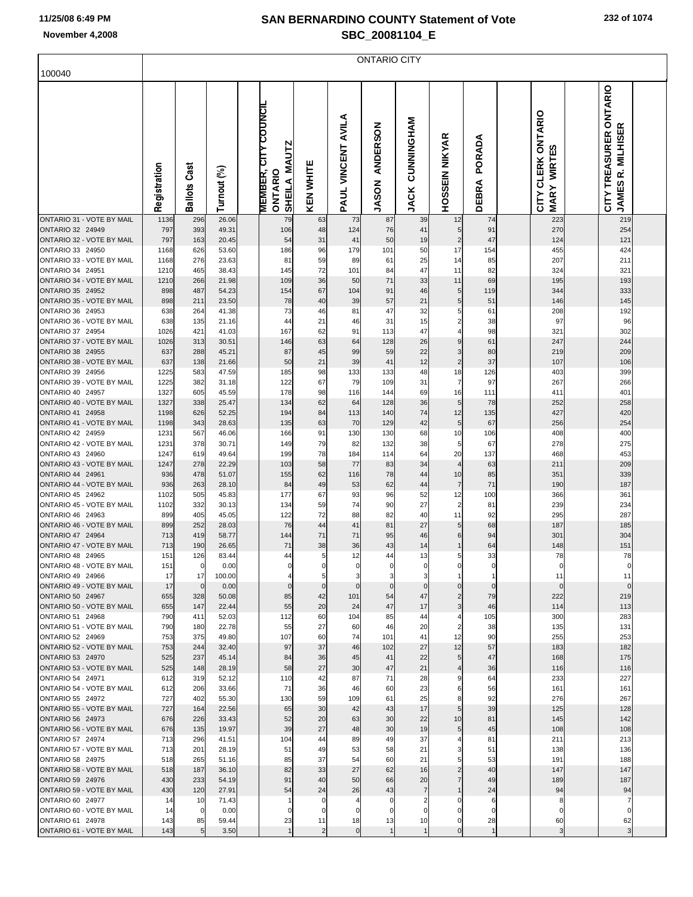|                                                      |              |                       |                |                                                        |                      |                      | <b>ONTARIO CITY</b>             |                                   |                                 |                    |                                          |                                                                |  |
|------------------------------------------------------|--------------|-----------------------|----------------|--------------------------------------------------------|----------------------|----------------------|---------------------------------|-----------------------------------|---------------------------------|--------------------|------------------------------------------|----------------------------------------------------------------|--|
| 100040                                               |              |                       |                |                                                        |                      |                      |                                 |                                   |                                 |                    |                                          |                                                                |  |
|                                                      | Registration | <b>Ballots Cast</b>   | Turnout (%)    | MEMBER, CITY COUNCIL<br>SHEILA MAUTZ<br><b>ONTARIO</b> | <b>KEN WHITE</b>     | PAUL VINCENT AVILA   | <b>ANDERSON</b><br><b>JASON</b> | <b>NAHONINGHAM</b><br><b>JACK</b> | <b>HOSSEIN NIKYAR</b>           | PORADA<br>DEBRA    | CITY CLERK ONTARIO<br><b>MARY WIRTES</b> | CITY TREASURER ONTARIO<br><b>MILHISER</b><br>ؾ<br><b>JAMES</b> |  |
| ONTARIO 31 - VOTE BY MAIL<br>ONTARIO 32 24949        | 1136         | 296                   | 26.06          | 79                                                     | 63                   | 73                   | 87                              | 39                                | 12                              | 74                 | 223                                      | 219                                                            |  |
| ONTARIO 32 - VOTE BY MAIL                            | 797<br>797   | 393<br>163            | 49.31<br>20.45 | 106<br>54                                              | 48<br>31             | 124<br>41            | 76<br>50                        | 41<br>19                          | 5<br>$\overline{\mathbf{c}}$    | 91<br>47           | 270<br>124                               | 254<br>121                                                     |  |
| ONTARIO 33 24950                                     | 1168         | 626                   | 53.60          | 186                                                    | 96                   | 179                  | 101                             | 50                                | 17                              | 154                | 455                                      | 424                                                            |  |
| ONTARIO 33 - VOTE BY MAIL<br>ONTARIO 34 24951        | 1168         | 276                   | 23.63          | 81                                                     | 59                   | 89                   | 61                              | 25                                | 14                              | 85                 | 207                                      | 211                                                            |  |
| ONTARIO 34 - VOTE BY MAIL                            | 1210<br>1210 | 465<br>266            | 38.43<br>21.98 | 145<br>109                                             | 72<br>36             | 101<br>50            | 84<br>71                        | 47<br>33                          | 11<br>11                        | 82<br>69           | 324<br>195                               | 321<br>193                                                     |  |
| ONTARIO 35 24952                                     | 898          | 487                   | 54.23          | 154                                                    | 67                   | 104                  | 91                              | 46                                | 5                               | 119                | 344                                      | 333                                                            |  |
| ONTARIO 35 - VOTE BY MAIL                            | 898          | 211                   | 23.50          | 78                                                     | 40                   | 39                   | 57                              | 21                                | 5                               | 51                 | 146                                      | 145                                                            |  |
| ONTARIO 36 24953<br>ONTARIO 36 - VOTE BY MAIL        | 638<br>638   | 264<br>135            | 41.38<br>21.16 | 73<br>44                                               | 46<br>21             | 81<br>46             | 47<br>31                        | 32<br>15                          | 5<br>$\overline{\mathbf{c}}$    | 61<br>38           | 208<br>97                                | 192<br>96                                                      |  |
| ONTARIO 37 24954                                     | 1026         | 421                   | 41.03          | 167                                                    | 62                   | 91                   | 113                             | 47                                | 4                               | 98                 | 321                                      | 302                                                            |  |
| ONTARIO 37 - VOTE BY MAIL                            | 1026         | 313                   | 30.51          | 146                                                    | 63                   | 64                   | 128                             | 26                                | $\boldsymbol{9}$                | 61                 | 247                                      | 244                                                            |  |
| ONTARIO 38 24955                                     | 637          | 288                   | 45.21          | 87                                                     | 45                   | 99                   | 59                              | 22                                | 3                               | 80                 | 219                                      | 209                                                            |  |
| ONTARIO 38 - VOTE BY MAIL<br>ONTARIO 39 24956        | 637<br>1225  | 138<br>583            | 21.66<br>47.59 | 50<br>185                                              | 21<br>98             | 39<br>133            | 41<br>133                       | 12<br>48                          | $\overline{\mathbf{c}}$<br>18   | 37<br>126          | 107<br>403                               | 106<br>399                                                     |  |
| ONTARIO 39 - VOTE BY MAIL                            | 1225         | 382                   | 31.18          | 122                                                    | 67                   | 79                   | 109                             | 31                                | $\overline{7}$                  | 97                 | 267                                      | 266                                                            |  |
| ONTARIO 40 24957                                     | 1327         | 605                   | 45.59          | 178                                                    | 98                   | 116                  | 144                             | 69                                | 16                              | 111                | 411                                      | 401                                                            |  |
| ONTARIO 40 - VOTE BY MAIL<br>ONTARIO 41 24958        | 1327<br>1198 | 338<br>626            | 25.47<br>52.25 | 134<br>194                                             | 62<br>84             | 64<br>113            | 128<br>140                      | 36<br>74                          | 5<br>12                         | 78<br>135          | 252<br>427                               | 258<br>420                                                     |  |
| ONTARIO 41 - VOTE BY MAIL                            | 1198         | 343                   | 28.63          | 135                                                    | 63                   | 70                   | 129                             | 42                                | 5                               | 67                 | 256                                      | 254                                                            |  |
| ONTARIO 42 24959                                     | 1231         | 567                   | 46.06          | 166                                                    | 91                   | 130                  | 130                             | 68                                | 10                              | 106                | 408                                      | 400                                                            |  |
| ONTARIO 42 - VOTE BY MAIL                            | 1231         | 378                   | 30.71          | 149                                                    | 79                   | 82                   | 132                             | 38                                | 5                               | 67                 | 278                                      | 275                                                            |  |
| ONTARIO 43 24960<br>ONTARIO 43 - VOTE BY MAIL        | 1247<br>1247 | 619<br>278            | 49.64<br>22.29 | 199<br>103                                             | 78<br>58             | 184<br>77            | 114<br>83                       | 64<br>34                          | 20<br>$\overline{\mathcal{A}}$  | 137<br>63          | 468<br>211                               | 453<br>209                                                     |  |
| ONTARIO 44 24961                                     | 936          | 478                   | 51.07          | 155                                                    | 62                   | 116                  | 78                              | 44                                | 10                              | 85                 | 351                                      | 339                                                            |  |
| ONTARIO 44 - VOTE BY MAIL                            | 936          | 263                   | 28.10          | 84                                                     | 49                   | 53                   | 62                              | 44                                | $\overline{7}$                  | $71$               | 190                                      | 187                                                            |  |
| ONTARIO 45 24962<br>ONTARIO 45 - VOTE BY MAIL        | 1102         | 505<br>332            | 45.83          | 177                                                    | 67                   | 93                   | 96                              | 52                                | 12                              | 100<br>81          | 366<br>239                               | 361                                                            |  |
| ONTARIO 46 24963                                     | 1102<br>899  | 405                   | 30.13<br>45.05 | 134<br>122                                             | 59<br>72             | 74<br>88             | 90<br>82                        | 27<br>40                          | $\overline{\mathbf{c}}$<br>11   | 92                 | 295                                      | 234<br>287                                                     |  |
| ONTARIO 46 - VOTE BY MAIL                            | 899          | 252                   | 28.03          | 76                                                     | 44                   | 41                   | 81                              | 27                                | 5                               | 68                 | 187                                      | 185                                                            |  |
| ONTARIO 47 24964                                     | 713          | 419                   | 58.77          | 144                                                    | 71                   | 71                   | 95                              | 46                                | 6                               | 94                 | 301                                      | 304                                                            |  |
| ONTARIO 47 - VOTE BY MAIL<br>ONTARIO 48 24965        | 713<br>151   | 190<br>126            | 26.65<br>83.44 | 71<br>44                                               | 38<br>$5 \mid$       | 36<br>12             | 43<br>44                        | 14<br>13                          | 1<br>5                          | 64<br>33           | 148<br>78                                | 151<br>78                                                      |  |
| ONTARIO 48 - VOTE BY MAIL                            | 151          | $\overline{0}$        | 0.00           | 0                                                      | 0                    | 0                    | 0                               | 0                                 | 0                               | 0                  | 0                                        |                                                                |  |
| ONTARIO 49 24966                                     | 17           | 17                    | 100.00         |                                                        | 5 <sub>l</sub>       | 3                    | 3                               | 3                                 |                                 | 1                  | 11                                       | 11                                                             |  |
| ONTARIO 49 - VOTE BY MAIL<br>ONTARIO 50 24967        | 17<br>655    | $\overline{0}$<br>328 | 0.00<br>50.08  | $\mathbf{0}$<br>85                                     | $\overline{0}$<br>42 | $\mathbf 0$<br>101   | $\mathbf 0$<br>54               | $\mathbf 0$<br>47                 | $\mathbf 0$                     | $\mathbf{0}$<br>79 | $\mathbf 0$<br>222                       | 219                                                            |  |
| ONTARIO 50 - VOTE BY MAIL                            | 655          | 147                   | 22.44          | 55                                                     | 20                   | 24                   | 47                              | 17                                | $\overline{c}$<br>$\frac{3}{2}$ | 46                 | 114                                      | 113                                                            |  |
| <b>ONTARIO 51 24968</b>                              | 790          | 411                   | 52.03          | 112                                                    | 60                   | 104                  | 85                              | 44                                | 4                               | 105                | 300                                      | 283                                                            |  |
| ONTARIO 51 - VOTE BY MAIL                            | 790          | 180                   | 22.78          | 55                                                     | 27                   | 60                   | 46                              | 20                                | $\overline{2}$                  | 38                 | 135                                      | 131                                                            |  |
| <b>ONTARIO 52 24969</b><br>ONTARIO 52 - VOTE BY MAIL | 753<br>753   | 375<br>244            | 49.80<br>32.40 | 107<br>97                                              | 60<br>37             | 74<br>46             | 101<br>102                      | 41<br>27                          | 12<br>12                        | 90<br>57           | 255<br>183                               | 253<br>182                                                     |  |
| <b>ONTARIO 53 24970</b>                              | 525          | 237                   | 45.14          | 84                                                     | 36                   | 45                   | 41                              | 22                                | 5                               | 47                 | 168                                      | 175                                                            |  |
| ONTARIO 53 - VOTE BY MAIL                            | 525          | 148                   | 28.19          | 58                                                     | 27                   | 30                   | 47                              | 21                                | 4                               | 36                 | 116                                      | 116                                                            |  |
| ONTARIO 54 24971<br>ONTARIO 54 - VOTE BY MAIL        | 612<br>612   | 319<br>206            | 52.12<br>33.66 | 110<br>71                                              | 42<br>36             | 87<br>46             | 71<br>60                        | 28<br>23                          | 9<br>6                          | 64<br>56           | 233<br>161                               | 227<br>161                                                     |  |
| <b>ONTARIO 55 24972</b>                              | 727          | 402                   | 55.30          | 130                                                    | 59                   | 109                  | 61                              | 25                                | 8                               | 92                 | 276                                      | 267                                                            |  |
| ONTARIO 55 - VOTE BY MAIL                            | 727          | 164                   | 22.56          | 65                                                     | 30                   | 42                   | 43                              | 17                                | 5                               | 39                 | 125                                      | 128                                                            |  |
| <b>ONTARIO 56 24973</b>                              | 676          | 226                   | 33.43          | 52                                                     | 20                   | 63                   | 30                              | 22                                | 10                              | 81                 | 145                                      | 142                                                            |  |
| ONTARIO 56 - VOTE BY MAIL<br>ONTARIO 57 24974        | 676<br>713   | 135<br>296            | 19.97<br>41.51 | 39<br>104                                              | 27<br>44             | 48<br>89             | 30<br>49                        | 19<br>37                          | $5 \mid$<br>4                   | 45<br>81           | 108<br>211                               | 108<br>213                                                     |  |
| ONTARIO 57 - VOTE BY MAIL                            | 713          | 201                   | 28.19          | 51                                                     | 49                   | 53                   | 58                              | 21                                | 3                               | 51                 | 138                                      | 136                                                            |  |
| <b>ONTARIO 58 24975</b>                              | 518          | 265                   | 51.16          | 85                                                     | 37                   | 54                   | 60                              | 21                                | 5                               | 53                 | 191                                      | 188                                                            |  |
| ONTARIO 58 - VOTE BY MAIL                            | 518          | 187                   | 36.10          | 82                                                     | 33                   | 27                   | 62                              | 16                                | $\overline{c}$                  | 40                 | 147                                      | 147                                                            |  |
| <b>ONTARIO 59 24976</b><br>ONTARIO 59 - VOTE BY MAIL | 430<br>430   | 233<br>120            | 54.19<br>27.91 | 91<br>54                                               | 40<br>24             | 50<br>26             | 66<br>43                        | 20<br>$\overline{7}$              | $\overline{7}$<br>$\mathbf{1}$  | 49<br>24           | 189<br>94                                | 187<br>94                                                      |  |
| ONTARIO 60 24977                                     | 14           | 10                    | 71.43          | 1                                                      | $\mathbf 0$          |                      | 0                               | 2                                 | $\Omega$                        | 6                  | 8                                        |                                                                |  |
| ONTARIO 60 - VOTE BY MAIL                            | 14           | $\mathbf 0$           | 0.00           | $\Omega$                                               | $\mathbf 0$          | 0                    | 0                               | 0                                 | $\Omega$                        | 0                  | 0                                        |                                                                |  |
| ONTARIO 61 24978                                     | 143          | 85                    | 59.44          | 23                                                     | 11                   | 18<br>$\overline{0}$ | 13                              | 10                                | 0<br>$\mathbf 0$                | 28<br>$\mathbf{1}$ | 60                                       | 62                                                             |  |
| ONTARIO 61 - VOTE BY MAIL                            | 143          | 5 <sub>l</sub>        | 3.50           | $\mathbf{1}$                                           | 2                    |                      | $\overline{1}$                  | $\mathbf{1}$                      |                                 |                    | 3                                        | 3                                                              |  |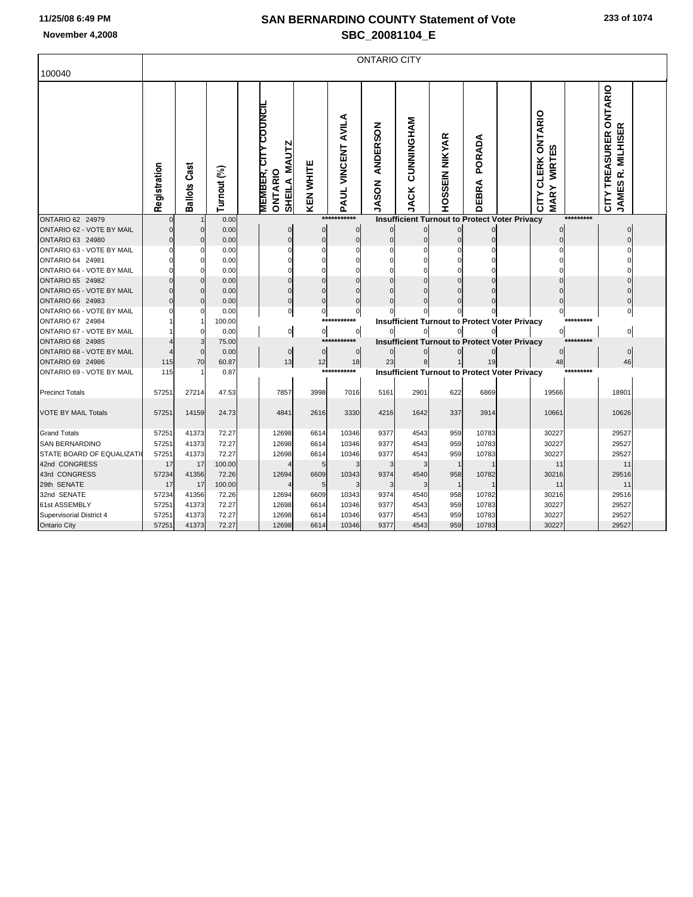| 100040                     | <b>ONTARIO CITY</b> |                     |             |  |                                                                         |                  |                    |                                 |                                  |                |                 |                                                      |                                                                     |           |                                             |  |
|----------------------------|---------------------|---------------------|-------------|--|-------------------------------------------------------------------------|------------------|--------------------|---------------------------------|----------------------------------|----------------|-----------------|------------------------------------------------------|---------------------------------------------------------------------|-----------|---------------------------------------------|--|
|                            | Registration        | <b>Ballots Cast</b> | Turnout (%) |  | <b>MEMBER, CITY COUNCIL</b><br><b>MAUTZ</b><br>ONTARIO<br><b>SHEILA</b> | <b>KEN WHITE</b> | PAUL VINCENT AVILA | <b>ANDERSON</b><br><b>JASON</b> | <b>NAHONINAHO</b><br><b>JACK</b> | HOSSEIN NIKYAR | PORADA<br>DEBRA |                                                      | <b>CLERK ONTARIO</b><br><b>WIRTES</b><br><b>MARY</b><br><b>CITY</b> |           | CITY TREASURER ONTARIO<br>JAMES R. MILHISER |  |
| ONTARIO 62 24979           | $\Omega$            |                     | 0.00        |  |                                                                         |                  | ***********        |                                 |                                  |                |                 | <b>Insufficient Turnout to Protect Voter Privacy</b> |                                                                     | ********* |                                             |  |
| ONTARIO 62 - VOTE BY MAIL  | O                   | $\mathbf 0$         | 0.00        |  | 0                                                                       | 0                | 0                  | $\bf{0}$                        | $\Omega$                         | $\Omega$       |                 |                                                      |                                                                     |           |                                             |  |
| ONTARIO 63 24980           |                     | $\Omega$            | 0.00        |  | $\Omega$                                                                | $\mathbf 0$      | $\Omega$           | $\mathbf 0$                     | $\Omega$                         | $\sqrt{ }$     | $\Omega$        |                                                      |                                                                     |           |                                             |  |
| ONTARIO 63 - VOTE BY MAIL  |                     | $\Omega$            | 0.00        |  | ŋ                                                                       | O                |                    | $\Omega$                        |                                  | $\mathcal{C}$  |                 |                                                      |                                                                     |           |                                             |  |
| ONTARIO 64 24981           |                     | 0                   | 0.00        |  |                                                                         |                  |                    | $\Omega$                        |                                  | C              |                 |                                                      |                                                                     |           |                                             |  |
| ONTARIO 64 - VOTE BY MAIL  |                     | $\Omega$            | 0.00        |  | O                                                                       | ŋ                |                    | $\Omega$                        |                                  |                |                 |                                                      |                                                                     |           |                                             |  |
| <b>ONTARIO 65 24982</b>    |                     | $\mathbf 0$         | 0.00        |  |                                                                         | $\Omega$         | $\Omega$           | $\Omega$                        |                                  |                |                 |                                                      |                                                                     |           |                                             |  |
| ONTARIO 65 - VOTE BY MAIL  |                     | $\Omega$            | 0.00        |  | 0                                                                       | $\Omega$         |                    |                                 |                                  |                |                 |                                                      |                                                                     |           |                                             |  |
| ONTARIO 66 24983           |                     | $\Omega$            | 0.00        |  | $\Omega$                                                                | $\Omega$         | $\Omega$           | $\Omega$                        | $\cap$                           | ſ              |                 |                                                      |                                                                     |           |                                             |  |
| ONTARIO 66 - VOTE BY MAIL  |                     | $\Omega$            | 0.00        |  | $\mathbf{0}$                                                            | $\overline{0}$   | 0                  | $\Omega$                        |                                  |                |                 |                                                      | 0                                                                   |           |                                             |  |
| ONTARIO 67 24984           |                     |                     | 100.00      |  |                                                                         |                  | ***********        |                                 |                                  |                |                 | <b>Insufficient Turnout to Protect Voter Privacy</b> |                                                                     | ********* |                                             |  |
| ONTARIO 67 - VOTE BY MAIL  |                     | $\Omega$            | 0.00        |  | $\mathsf{o}$                                                            | 이                | 0                  |                                 |                                  |                |                 |                                                      | 0                                                                   |           | $\Omega$                                    |  |
| ONTARIO 68 24985           |                     | 3                   | 75.00       |  |                                                                         |                  | ****               |                                 |                                  |                |                 | <b>Insufficient Turnout to Protect Voter Privacy</b> |                                                                     | ********* |                                             |  |
| ONTARIO 68 - VOTE BY MAIL  |                     | $\mathbf 0$         | 0.00        |  | $\mathbf 0$                                                             | $\mathbf 0$      | $\mathbf 0$        |                                 |                                  |                |                 |                                                      | O                                                                   |           | $\Omega$                                    |  |
| ONTARIO 69 24986           | 115                 | 70                  | 60.87       |  | 13                                                                      | 12               | 18<br>***********  | 23                              | 8                                |                | 19              |                                                      | 48                                                                  | ********* | 46                                          |  |
| ONTARIO 69 - VOTE BY MAIL  | 115                 | -1                  | 0.87        |  |                                                                         |                  |                    |                                 |                                  |                |                 | <b>Insufficient Turnout to Protect Voter Privacy</b> |                                                                     |           |                                             |  |
| <b>Precinct Totals</b>     | 57251               | 27214               | 47.53       |  | 7857                                                                    | 3998             | 7016               | 5161                            | 2901                             | 622            | 6869            |                                                      | 19566                                                               |           | 18901                                       |  |
| <b>VOTE BY MAIL Totals</b> | 57251               | 14159               | 24.73       |  | 4841                                                                    | 2616             | 3330               | 4216                            | 1642                             | 337            | 3914            |                                                      | 10661                                                               |           | 10626                                       |  |
| <b>Grand Totals</b>        | 57251               | 41373               | 72.27       |  | 12698                                                                   | 6614             | 10346              | 9377                            | 4543                             | 959            | 10783           |                                                      | 30227                                                               |           | 29527                                       |  |
| <b>SAN BERNARDINO</b>      | 57251               | 41373               | 72.27       |  | 12698                                                                   | 6614             | 10346              | 9377                            | 4543                             | 959            | 10783           |                                                      | 30227                                                               |           | 29527                                       |  |
| STATE BOARD OF EQUALIZATI  | 57251               | 41373               | 72.27       |  | 12698                                                                   | 6614             | 10346              | 9377                            | 4543                             | 959            | 10783           |                                                      | 30227                                                               |           | 29527                                       |  |
| 42nd CONGRESS              | 17                  | 17                  | 100.00      |  |                                                                         | 5                |                    | 3                               |                                  | $\overline{1}$ |                 |                                                      | 11                                                                  |           | 11                                          |  |
| 43rd CONGRESS              | 57234               | 41356               | 72.26       |  | 12694                                                                   | 6609             | 10343              | 9374                            | 4540                             | 958            | 10782           |                                                      | 30216                                                               |           | 29516                                       |  |
| 29th SENATE                | 17                  | 17                  | 100.00      |  |                                                                         | 5                |                    | 3                               |                                  |                |                 |                                                      | 11                                                                  |           | 11                                          |  |
| 32nd SENATE                | 57234               | 41356               | 72.26       |  | 12694                                                                   | 6609             | 10343              | 9374                            | 4540                             | 958            | 10782           |                                                      | 30216                                                               |           | 29516                                       |  |
| 61st ASSEMBLY              | 57251               | 41373               | 72.27       |  | 12698                                                                   | 6614             | 10346              | 9377                            | 4543                             | 959            | 10783           |                                                      | 30227                                                               |           | 29527                                       |  |
| Supervisorial District 4   | 57251               | 41373               | 72.27       |  | 12698                                                                   | 6614             | 10346              | 9377                            | 4543                             | 959            | 10783           |                                                      | 30227                                                               |           | 29527                                       |  |
| Ontario City               | 57251               | 41373               | 72.27       |  | 12698                                                                   | 6614             | 10346              | 9377                            | 4543                             | 959            | 10783           |                                                      | 30227                                                               |           | 29527                                       |  |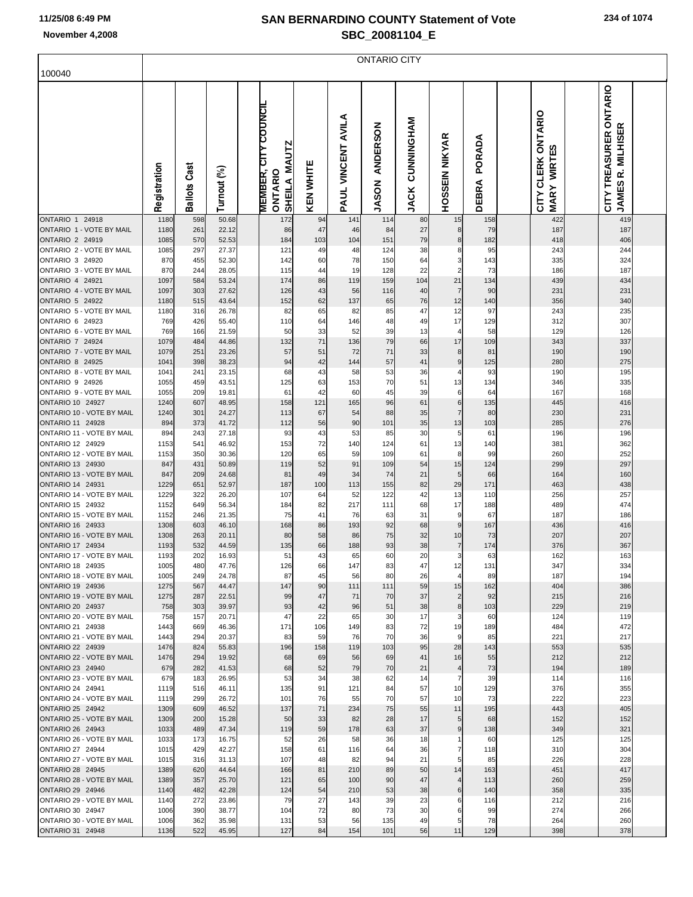|                                                      | <b>ONTARIO CITY</b> |                     |                |  |                                                               |                  |                    |                                 |                                   |                               |                 |  |                                   |  |                                                       |  |
|------------------------------------------------------|---------------------|---------------------|----------------|--|---------------------------------------------------------------|------------------|--------------------|---------------------------------|-----------------------------------|-------------------------------|-----------------|--|-----------------------------------|--|-------------------------------------------------------|--|
| 100040                                               |                     |                     |                |  |                                                               |                  |                    |                                 |                                   |                               |                 |  |                                   |  |                                                       |  |
|                                                      | Registration        | <b>Ballots Cast</b> | Turnout (%)    |  | <b>MEMBER, CITY COUNCIL</b><br>SHEILA MAUTZ<br><b>ONTARIO</b> | <b>KEN WHITE</b> | PAUL VINCENT AVILA | <b>ANDERSON</b><br><b>JASON</b> | <b>NAHONINGHAM</b><br><b>JACK</b> | <b>HOSSEIN NIKYAR</b>         | PORADA<br>DEBRA |  | CITY CLERK ONTARIO<br>MARY WIRTES |  | CITY TREASURER ONTARIO<br>R. MILHISER<br><b>JAMES</b> |  |
| ONTARIO 1 24918<br>ONTARIO 1 - VOTE BY MAIL          | 1180<br>1180        | 598<br>261          | 50.68<br>22.12 |  | 172<br>86                                                     | 94<br>47         | 141                | 114                             | 80                                | 15                            | 158             |  | 422<br>187                        |  | 419<br>187                                            |  |
| <b>ONTARIO 2 24919</b>                               | 1085                | 570                 | 52.53          |  | 184                                                           | 103              | 46<br>104          | 84<br>151                       | 27<br>79                          | 8<br>8                        | 79<br>182       |  | 418                               |  | 406                                                   |  |
| ONTARIO 2 - VOTE BY MAIL                             | 1085                | 297                 | 27.37          |  | 121                                                           | 49               | 48                 | 124                             | 38                                | 8                             | 95              |  | 243                               |  | 244                                                   |  |
| ONTARIO 3 24920<br>ONTARIO 3 - VOTE BY MAIL          | 870                 | 455                 | 52.30          |  | 142                                                           | 60               | 78                 | 150                             | 64                                | 3<br>$\overline{2}$           | 143             |  | 335                               |  | 324                                                   |  |
| <b>ONTARIO 4 24921</b>                               | 870<br>1097         | 244<br>584          | 28.05<br>53.24 |  | 115<br>174                                                    | 44<br>86         | 19<br>119          | 128<br>159                      | 22<br>104                         | 21                            | 73<br>134       |  | 186<br>439                        |  | 187<br>434                                            |  |
| ONTARIO 4 - VOTE BY MAIL                             | 1097                | 303                 | 27.62          |  | 126                                                           | 43               | 56                 | 116                             | 40                                | $\overline{7}$                | 90              |  | 231                               |  | 231                                                   |  |
| <b>ONTARIO 5 24922</b>                               | 1180                | 515                 | 43.64          |  | 152                                                           | 62               | 137                | 65                              | 76                                | 12                            | 140             |  | 356                               |  | 340                                                   |  |
| ONTARIO 5 - VOTE BY MAIL<br>ONTARIO 6 24923          | 1180<br>769         | 316<br>426          | 26.78<br>55.40 |  | 82<br>110                                                     | 65<br>64         | 82<br>146          | 85<br>48                        | 47<br>49                          | 12<br>17                      | 97<br>129       |  | 243<br>312                        |  | 235<br>307                                            |  |
| ONTARIO 6 - VOTE BY MAIL                             | 769                 | 166                 | 21.59          |  | 50                                                            | 33               | 52                 | 39                              | 13                                | 4                             | 58              |  | 129                               |  | 126                                                   |  |
| ONTARIO 7 24924                                      | 1079                | 484                 | 44.86          |  | 132                                                           | 71               | 136                | 79                              | 66                                | 17                            | 109             |  | 343                               |  | 337                                                   |  |
| ONTARIO 7 - VOTE BY MAIL<br><b>ONTARIO 8 24925</b>   | 1079                | 251                 | 23.26          |  | 57                                                            | 51               | 72                 | 71                              | 33                                | 8                             | 81              |  | 190                               |  | 190                                                   |  |
| ONTARIO 8 - VOTE BY MAIL                             | 1041<br>1041        | 398<br>241          | 38.23<br>23.15 |  | 94<br>68                                                      | 42<br>43         | 144<br>58          | 57<br>53                        | 41<br>36                          | 9<br>4                        | 125<br>93       |  | 280<br>190                        |  | 275<br>195                                            |  |
| ONTARIO 9 24926                                      | 1055                | 459                 | 43.51          |  | 125                                                           | 63               | 153                | 70                              | 51                                | 13                            | 134             |  | 346                               |  | 335                                                   |  |
| ONTARIO 9 - VOTE BY MAIL                             | 1055                | 209                 | 19.81          |  | 61                                                            | 42               | 60                 | 45                              | 39                                | 6                             | 64              |  | 167                               |  | 168                                                   |  |
| <b>ONTARIO 10 24927</b><br>ONTARIO 10 - VOTE BY MAIL | 1240<br>1240        | 607<br>301          | 48.95<br>24.27 |  | 158<br>113                                                    | 121<br>67        | 165<br>54          | 96<br>88                        | 61<br>35                          | 6<br>$\overline{7}$           | 135<br>80       |  | 445<br>230                        |  | 416<br>231                                            |  |
| <b>ONTARIO 11 24928</b>                              | 894                 | 373                 | 41.72          |  | 112                                                           | 56               | 90                 | 101                             | 35                                | 13                            | 103             |  | 285                               |  | 276                                                   |  |
| ONTARIO 11 - VOTE BY MAIL                            | 894                 | 243                 | 27.18          |  | 93                                                            | 43               | 53                 | 85                              | 30                                | 5                             | 61              |  | 196                               |  | 196                                                   |  |
| ONTARIO 12 24929                                     | 1153                | 541                 | 46.92          |  | 153                                                           | 72               | 140                | 124                             | 61                                | 13                            | 140             |  | 381                               |  | 362                                                   |  |
| ONTARIO 12 - VOTE BY MAIL<br>ONTARIO 13 24930        | 1153<br>847         | 350<br>431          | 30.36<br>50.89 |  | 120<br>119                                                    | 65<br>52         | 59<br>91           | 109<br>109                      | 61<br>54                          | 8<br>15                       | 99<br>124       |  | 260<br>299                        |  | 252<br>297                                            |  |
| ONTARIO 13 - VOTE BY MAIL                            | 847                 | 209                 | 24.68          |  | 81                                                            | 49               | 34                 | 74                              | 21                                | 5                             | 66              |  | 164                               |  | 160                                                   |  |
| <b>ONTARIO 14 24931</b>                              | 1229                | 651                 | 52.97          |  | 187                                                           | 100              | 113                | 155                             | 82                                | 29                            | 171             |  | 463                               |  | 438                                                   |  |
| ONTARIO 14 - VOTE BY MAIL<br><b>ONTARIO 15 24932</b> | 1229<br>1152        | 322<br>649          | 26.20<br>56.34 |  | 107<br>184                                                    | 64<br>82         | 52<br>217          | 122<br>111                      | 42<br>68                          | 13<br>17                      | 110<br>188      |  | 256<br>489                        |  | 257<br>474                                            |  |
| ONTARIO 15 - VOTE BY MAIL                            | 1152                | 246                 | 21.35          |  | 75                                                            | 41               | 76                 | 63                              | 31                                | 9                             | 67              |  | 187                               |  | 186                                                   |  |
| <b>ONTARIO 16 24933</b>                              | 1308                | 603                 | 46.10          |  | 168                                                           | 86               | 193                | 92                              | 68                                | 9                             | 167             |  | 436                               |  | 416                                                   |  |
| ONTARIO 16 - VOTE BY MAIL                            | 1308                | 263                 | 20.11          |  | 80                                                            | 58               | 86                 | 75                              | 32                                | 10                            | 73              |  | 207                               |  | 207                                                   |  |
| <b>ONTARIO 17 24934</b><br>ONTARIO 17 - VOTE BY MAIL | 1193<br>1193        | 532<br>202          | 44.59<br>16.93 |  | 135<br>51                                                     | 66<br>43         | 188<br>65          | 93<br>60                        | 38<br>20                          | $\overline{7}$<br>3           | 174<br>63       |  | 376<br>162                        |  | 367<br>163                                            |  |
| <b>ONTARIO 18 24935</b>                              | 1005                | 480                 | 47.76          |  | 126                                                           | 66               | 147                | 83                              | 47                                | 12                            | 131             |  | 347                               |  | 334                                                   |  |
| ONTARIO 18 - VOTE BY MAIL                            | 1005                | 249                 | 24.78          |  | 87                                                            | 45               | 56                 | 80                              | 26                                | 4                             | 89              |  | 187                               |  | 194                                                   |  |
| <b>ONTARIO 19 24936</b><br>ONTARIO 19 - VOTE BY MAIL | 1275<br>1275        | 567<br>287          | 44.47<br>22.51 |  | 147<br>99                                                     | 90<br>47         | 111<br>71          | 111<br>70                       | 59<br>37                          | 15<br>$\overline{c}$          | 162<br>92       |  | 404<br>215                        |  | 386<br>216                                            |  |
| <b>ONTARIO 20 24937</b>                              | 758                 | 303                 | 39.97          |  | 93                                                            | 42               | 96                 | 51                              | 38                                | 8                             | 103             |  | 229                               |  | 219                                                   |  |
| ONTARIO 20 - VOTE BY MAIL                            | 758                 | 157                 | 20.71          |  | 47                                                            | 22               | 65                 | 30                              | 17                                | 3                             | 60              |  | 124                               |  | 119                                                   |  |
| <b>ONTARIO 21 24938</b>                              | 1443                | 669                 | 46.36          |  | 171                                                           | 106              | 149                | 83                              | 72                                | 19                            | 189             |  | 484                               |  | 472                                                   |  |
| ONTARIO 21 - VOTE BY MAIL<br><b>ONTARIO 22 24939</b> | 1443<br>1476        | 294<br>824          | 20.37<br>55.83 |  | 83<br>196                                                     | 59<br>158        | 76<br>119          | 70<br>103                       | 36<br>95                          | 9<br>28                       | 85<br>143       |  | 221<br>553                        |  | 217<br>535                                            |  |
| ONTARIO 22 - VOTE BY MAIL                            | 1476                | 294                 | 19.92          |  | 68                                                            | 69               | 56                 | 69                              | 41                                | 16                            | 55              |  | 212                               |  | 212                                                   |  |
| <b>ONTARIO 23 24940</b>                              | 679                 | 282                 | 41.53          |  | 68                                                            | 52               | 79                 | 70                              | 21                                | $\overline{\mathbf{r}}$       | 73              |  | 194                               |  | 189                                                   |  |
| ONTARIO 23 - VOTE BY MAIL<br>ONTARIO 24 24941        | 679                 | 183                 | 26.95          |  | 53                                                            | 34               | 38                 | 62                              | 14                                | 7                             | 39              |  | 114                               |  | 116                                                   |  |
| ONTARIO 24 - VOTE BY MAIL                            | 1119<br>1119        | 516<br>299          | 46.11<br>26.72 |  | 135<br>101                                                    | 91<br>76         | 121<br>55          | 84<br>70                        | 57<br>57                          | 10<br>10                      | 129<br>73       |  | 376<br>222                        |  | 355<br>223                                            |  |
| <b>ONTARIO 25 24942</b>                              | 1309                | 609                 | 46.52          |  | 137                                                           | 71               | 234                | 75                              | 55                                | 11                            | 195             |  | 443                               |  | 405                                                   |  |
| ONTARIO 25 - VOTE BY MAIL                            | 1309                | 200                 | 15.28          |  | 50                                                            | 33               | 82                 | 28                              | 17                                | 5                             | 68              |  | 152                               |  | 152                                                   |  |
| <b>ONTARIO 26 24943</b><br>ONTARIO 26 - VOTE BY MAIL | 1033<br>1033        | 489<br>173          | 47.34<br>16.75 |  | 119<br>52                                                     | 59<br>26         | 178<br>58          | 63<br>36                        | 37<br>18                          | 9<br>1                        | 138<br>60       |  | 349<br>125                        |  | 321<br>125                                            |  |
| <b>ONTARIO 27 24944</b>                              | 1015                | 429                 | 42.27          |  | 158                                                           | 61               | 116                | 64                              | 36                                | $\overline{7}$                | 118             |  | 310                               |  | 304                                                   |  |
| ONTARIO 27 - VOTE BY MAIL                            | 1015                | 316                 | 31.13          |  | 107                                                           | 48               | 82                 | 94                              | 21                                | 5                             | 85              |  | 226                               |  | 228                                                   |  |
| <b>ONTARIO 28 24945</b>                              | 1389                | 620                 | 44.64          |  | 166                                                           | 81               | 210                | 89                              | 50                                | 14                            | 163             |  | 451                               |  | 417                                                   |  |
| ONTARIO 28 - VOTE BY MAIL<br><b>ONTARIO 29 24946</b> | 1389<br>1140        | 357<br>482          | 25.70<br>42.28 |  | 121<br>124                                                    | 65<br>54         | 100<br>210         | 90<br>53                        | 47<br>38                          | $\overline{\mathcal{A}}$<br>6 | 113<br>140      |  | 260<br>358                        |  | 259<br>335                                            |  |
| ONTARIO 29 - VOTE BY MAIL                            | 1140                | 272                 | 23.86          |  | 79                                                            | 27               | 143                | 39                              | 23                                | 6                             | 116             |  | 212                               |  | 216                                                   |  |
| <b>ONTARIO 30 24947</b>                              | 1006                | 390                 | 38.77          |  | 104                                                           | 72               | 80                 | 73                              | 30                                | 6                             | 99              |  | 274                               |  | 266                                                   |  |
| ONTARIO 30 - VOTE BY MAIL<br>ONTARIO 31 24948        | 1006<br>1136        | 362<br>522          | 35.98<br>45.95 |  | 131<br>127                                                    | 53<br>84         | 56<br>154          | 135<br>101                      | 49<br>56                          | 5                             | 78<br>129       |  | 264<br>398                        |  | 260<br>378                                            |  |
|                                                      |                     |                     |                |  |                                                               |                  |                    |                                 |                                   | 11                            |                 |  |                                   |  |                                                       |  |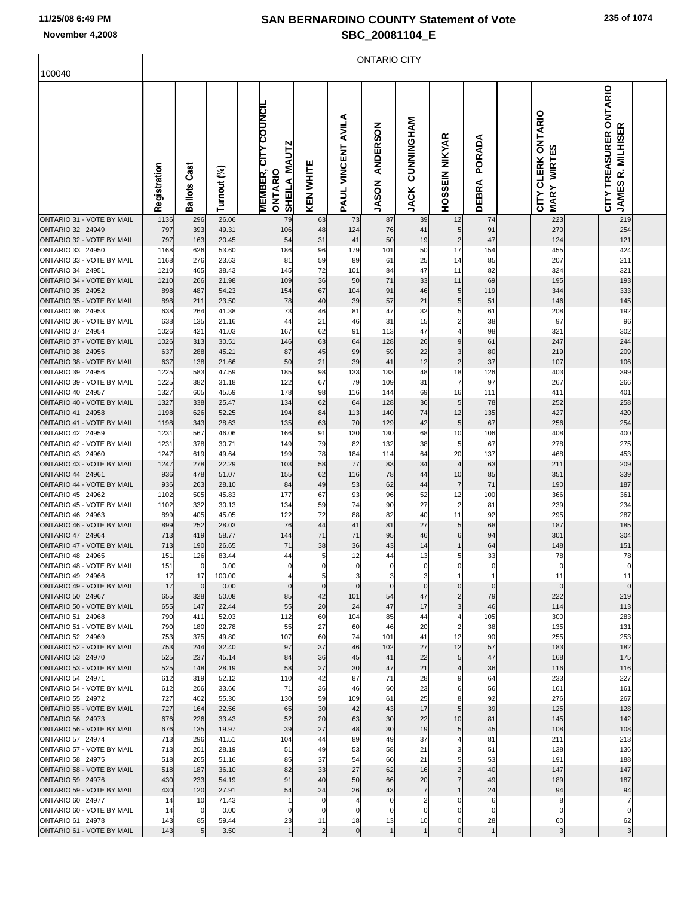$\Gamma$ 

## **SAN BERNARDINO COUNTY Statement of Vote November 4,2008 SBC\_20081104\_E**

ONTARIO CITY

| 100040                                               |              |                     |                |                      |                         |                |                    |                                 |                                  |                              |                        |                                                                |                                                                    |  |
|------------------------------------------------------|--------------|---------------------|----------------|----------------------|-------------------------|----------------|--------------------|---------------------------------|----------------------------------|------------------------------|------------------------|----------------------------------------------------------------|--------------------------------------------------------------------|--|
|                                                      | Registration | <b>Ballots Cast</b> | Turnout (%)    | MEMBER, CITY COUNCIL | SHEILA MAUTZ<br>ONTARIO | KEN WHITE      | PAUL VINCENT AVILA | <b>ANDERSON</b><br><b>JASON</b> | <b>DINNINGHAM</b><br><b>JACK</b> | <b>HOSSEIN NIKYAR</b>        | PORADA<br><b>DEBRA</b> | CITY CLERK ONTARIO<br><b>631</b><br><b>WIRT</b><br><b>MARY</b> | CITY TREASURER ONTARIO<br>≃<br><b>MILHISE</b><br>œ<br><b>JAMES</b> |  |
| ONTARIO 31 - VOTE BY MAIL                            | 1136         | 296                 | 26.06          |                      | 79                      | 63             | 73                 | 87                              | 39                               | 12                           | 74                     | 223                                                            | 219                                                                |  |
| ONTARIO 32 24949<br>ONTARIO 32 - VOTE BY MAIL        | 797<br>797   | 393<br>163          | 49.31<br>20.45 |                      | 106<br>54               | 48<br>31       | 124<br>41          | 76<br>50                        | 41<br>19                         | 5<br>$\overline{\mathbf{c}}$ | 91<br>47               | 270<br>124                                                     | 254<br>121                                                         |  |
| ONTARIO 33 24950                                     | 1168         | 626                 | 53.60          |                      | 186                     | 96             | 179                | 101                             | 50                               | 17                           | 154                    | 455                                                            | 424                                                                |  |
| ONTARIO 33 - VOTE BY MAIL                            | 1168         | 276                 | 23.63          |                      | 81                      | 59             | 89                 | 61                              | 25                               | 14                           | 85                     | 207                                                            | 211                                                                |  |
| ONTARIO 34 24951                                     | 1210         | 465                 | 38.43          |                      | 145                     | 72             | 101                | 84                              | 47                               | 11                           | 82                     | 324                                                            | 321                                                                |  |
| ONTARIO 34 - VOTE BY MAIL                            | 1210         | 266                 | 21.98          |                      | 109                     | 36             | 50                 | 71                              | 33                               | 11                           | 69                     | 195                                                            | 193                                                                |  |
| ONTARIO 35 24952                                     | 898          | 487                 | 54.23          |                      | 154                     | 67             | 104                | 91                              | 46                               | 5                            | 119                    | 344                                                            | 333                                                                |  |
| ONTARIO 35 - VOTE BY MAIL<br>ONTARIO 36 24953        | 898<br>638   | 211<br>264          | 23.50<br>41.38 |                      | 78<br>73                | 40<br>46       | 39<br>81           | 57<br>47                        | 21<br>32                         | 5<br>5                       | 51<br>61               | 146<br>208                                                     | 145<br>192                                                         |  |
| ONTARIO 36 - VOTE BY MAIL                            | 638          | 135                 | 21.16          |                      | 44                      | 21             | 46                 | 31                              | 15                               | 2                            | 38                     | 97                                                             | 96                                                                 |  |
| ONTARIO 37 24954                                     | 1026         | 421                 | 41.03          |                      | 167                     | 62             | 91                 | 113                             | 47                               | 4                            | 98                     | 321                                                            | 302                                                                |  |
| ONTARIO 37 - VOTE BY MAIL                            | 1026         | 313                 | 30.51          |                      | 146                     | 63             | 64                 | 128                             | 26                               | 9                            | 61                     | 247                                                            | 244                                                                |  |
| ONTARIO 38 24955                                     | 637          | 288                 | 45.21          |                      | 87                      | 45             | 99                 | 59                              | 22                               | 3                            | 80                     | 219                                                            | 209                                                                |  |
| ONTARIO 38 - VOTE BY MAIL                            | 637          | 138                 | 21.66          |                      | 50                      | 21             | 39                 | 41                              | 12                               | $\overline{\mathbf{c}}$      | 37                     | 107                                                            | 106                                                                |  |
| ONTARIO 39 24956<br>ONTARIO 39 - VOTE BY MAIL        | 1225<br>1225 | 583<br>382          | 47.59<br>31.18 |                      | 185<br>122              | 98<br>67       | 133<br>79          | 133<br>109                      | 48<br>31                         | 18<br>7                      | 126<br>97              | 403<br>267                                                     | 399<br>266                                                         |  |
| ONTARIO 40 24957                                     | 1327         | 605                 | 45.59          |                      | 178                     | 98             | 116                | 144                             | 69                               | 16                           | 111                    | 411                                                            | 401                                                                |  |
| ONTARIO 40 - VOTE BY MAIL                            | 1327         | 338                 | 25.47          |                      | 134                     | 62             | 64                 | 128                             | 36                               | 5                            | 78                     | 252                                                            | 258                                                                |  |
| ONTARIO 41 24958                                     | 1198         | 626                 | 52.25          |                      | 194                     | 84             | 113                | 140                             | 74                               | 12                           | 135                    | 427                                                            | 420                                                                |  |
| ONTARIO 41 - VOTE BY MAIL                            | 1198         | 343                 | 28.63          |                      | 135                     | 63             | 70                 | 129                             | 42                               | 5                            | 67                     | 256                                                            | 254                                                                |  |
| ONTARIO 42 24959                                     | 1231         | 567                 | 46.06          |                      | 166                     | 91             | 130                | 130                             | 68                               | 10                           | 106                    | 408                                                            | 400                                                                |  |
| ONTARIO 42 - VOTE BY MAIL<br>ONTARIO 43 24960        | 1231<br>1247 | 378<br>619          | 30.71<br>49.64 |                      | 149<br>199              | 79<br>78       | 82<br>184          | 132<br>114                      | 38<br>64                         | 5<br>20                      | 67<br>137              | 278<br>468                                                     | 275<br>453                                                         |  |
| ONTARIO 43 - VOTE BY MAIL                            | 1247         | 278                 | 22.29          |                      | 103                     | 58             | 77                 | 83                              | 34                               | $\overline{4}$               | 63                     | 211                                                            | 209                                                                |  |
| ONTARIO 44 24961                                     | 936          | 478                 | 51.07          |                      | 155                     | 62             | 116                | 78                              | 44                               | 10                           | 85                     | 351                                                            | 339                                                                |  |
| ONTARIO 44 - VOTE BY MAIL                            | 936          | 263                 | 28.10          |                      | 84                      | 49             | 53                 | 62                              | 44                               | $\overline{7}$               | 71                     | 190                                                            | 187                                                                |  |
| ONTARIO 45 24962                                     | 1102         | 505                 | 45.83          |                      | 177                     | 67             | 93                 | 96                              | 52                               | 12                           | 100                    | 366                                                            | 361                                                                |  |
| ONTARIO 45 - VOTE BY MAIL<br>ONTARIO 46 24963        | 1102         | 332                 | 30.13          |                      | 134                     | 59             | 74<br>88           | 90                              | 27<br>40                         | $\overline{2}$<br>11         | 81<br>92               | 239                                                            | 234                                                                |  |
| ONTARIO 46 - VOTE BY MAIL                            | 899<br>899   | 405<br>252          | 45.05<br>28.03 |                      | 122<br>76               | 72<br>44       | 41                 | 82<br>81                        | 27                               | 5                            | 68                     | 295<br>187                                                     | 287<br>185                                                         |  |
| ONTARIO 47 24964                                     | 713          | 419                 | 58.77          |                      | 144                     | 71             | 71                 | 95                              | 46                               | 6                            | 94                     | 301                                                            | 304                                                                |  |
| ONTARIO 47 - VOTE BY MAIL                            | 713          | 190                 | 26.65          |                      | 71                      | 38             | 36                 | 43                              | 14                               |                              | 64                     | 148                                                            | 151                                                                |  |
| ONTARIO 48 24965                                     | 151          | 126                 | 83.44          |                      | 44                      | 5              | 12                 | 44                              | 13                               | 5                            | 33                     | 78                                                             | 78                                                                 |  |
| ONTARIO 48 - VOTE BY MAIL                            | 151          | 0                   | 0.00           |                      | 0                       | $\mathbf{0}$   | $\pmb{0}$          | 0                               | $\mathbf 0$                      | $\Omega$                     | 0                      | $\Omega$                                                       | 0                                                                  |  |
| <b>ONTARIO 49 24966</b><br>ONTARIO 49 - VOTE BY MAIL | 17<br>17     | 17<br>$\mathbf 0$   | 100.00<br>0.00 |                      | $\overline{0}$          | 5<br>$\circ$   | $\mathbf 0$        | $\mathbf 0$                     | $\mathbf 0$                      | $\mathbf 0$                  | $\mathbf 0$            | 11<br>$\Omega$                                                 | 11<br>$\mathbf 0$                                                  |  |
| ONTARIO 50 24967                                     | 655          | 328                 | 50.08          |                      | 85                      | 42             | 101                | 54                              | 47                               | 2                            | 79                     | 222                                                            | 219                                                                |  |
| ONTARIO 50 - VOTE BY MAIL                            | 655          | 147                 | 22.44          |                      | 55                      | 20             | 24                 | 47                              | 17                               | 3                            | 46                     | 114                                                            | 113                                                                |  |
| ONTARIO 51 24968                                     | 790          | 411                 | 52.03          |                      | 112                     | 60             | 104                | 85                              | 44                               |                              | 105                    | 300                                                            | 283                                                                |  |
| ONTARIO 51 - VOTE BY MAIL                            | 790          | 180                 | 22.78          |                      | 55                      | 27             | 60                 | 46                              | 20                               | $\overline{2}$               | 38                     | 135                                                            | 131                                                                |  |
| ONTARIO 52 24969<br>ONTARIO 52 - VOTE BY MAIL        | 753<br>753   | 375<br>244          | 49.80<br>32.40 |                      | 107<br>97               | 60<br>37       | 74<br>46           | 101<br>102                      | 41<br>27                         | 12<br>12                     | 90<br>57               | 255<br>183                                                     | 253<br>182                                                         |  |
| ONTARIO 53 24970                                     | 525          | 237                 | 45.14          |                      | 84                      | 36             | 45                 | 41                              | 22                               |                              | 47                     | 168                                                            | 175                                                                |  |
| ONTARIO 53 - VOTE BY MAIL                            | 525          | 148                 | 28.19          |                      | 58                      | 27             | 30                 | 47                              | 21                               |                              | 36                     | 116                                                            | 116                                                                |  |
| ONTARIO 54 24971                                     | 612          | 319                 | 52.12          |                      | 110                     | 42             | 87                 | 71                              | 28                               | 9                            | 64                     | 233                                                            | 227                                                                |  |
| ONTARIO 54 - VOTE BY MAIL                            | 612          | 206                 | 33.66          |                      | 71                      | 36             | 46                 | 60                              | 23                               |                              | 56                     | 161                                                            | 161                                                                |  |
| ONTARIO 55 24972                                     | 727          | 402                 | 55.30          |                      | 130                     | 59             | 109                | 61                              | 25                               | 8                            | 92                     | 276                                                            | 267                                                                |  |
| ONTARIO 55 - VOTE BY MAIL<br>ONTARIO 56 24973        | 727<br>676   | 164<br>226          | 22.56          |                      | 65<br>52                | 30<br>20       | 42                 | 43<br>30                        | 17<br>22                         | 5<br>10                      | 39                     | 125                                                            | 128                                                                |  |
| ONTARIO 56 - VOTE BY MAIL                            | 676          | 135                 | 33.43<br>19.97 |                      | 39                      | 27             | 63<br>48           | 30                              | 19                               |                              | 81<br>45               | 145<br>108                                                     | 142<br>108                                                         |  |
| ONTARIO 57 24974                                     | 713          | 296                 | 41.51          |                      | 104                     | 44             | 89                 | 49                              | 37                               |                              | 81                     | 211                                                            | 213                                                                |  |
| ONTARIO 57 - VOTE BY MAIL                            | 713          | 201                 | 28.19          |                      | 51                      | 49             | 53                 | 58                              | 21                               | 3                            | 51                     | 138                                                            | 136                                                                |  |
| ONTARIO 58 24975                                     | 518          | 265                 | 51.16          |                      | 85                      | 37             | 54                 | 60                              | 21                               | 5                            | 53                     | 191                                                            | 188                                                                |  |
| ONTARIO 58 - VOTE BY MAIL                            | 518          | 187                 | 36.10          |                      | 82                      | 33             | 27                 | 62                              | 16                               | $\overline{2}$               | 40                     | 147                                                            | 147                                                                |  |
| ONTARIO 59 24976<br>ONTARIO 59 - VOTE BY MAIL        | 430<br>430   | 233<br>120          | 54.19<br>27.91 |                      | 91<br>54                | 40<br>24       | 50<br>26           | 66<br>43                        | 20<br>7                          |                              | 49<br>24               | 189<br>94                                                      | 187<br>94                                                          |  |
| ONTARIO 60 24977                                     | 14           | 10                  | 71.43          |                      |                         | 0              |                    |                                 |                                  |                              | 6                      | 8                                                              |                                                                    |  |
| ONTARIO 60 - VOTE BY MAIL                            | 14           | 0                   | 0.00           |                      |                         | 0              | 0                  |                                 |                                  |                              |                        | $\Omega$                                                       |                                                                    |  |
| ONTARIO 61 24978                                     | 143          | 85                  | 59.44          |                      | 23                      | 11             | 18                 | 13                              | 10                               | 0                            | 28                     | 60                                                             | 62                                                                 |  |
| ONTARIO 61 - VOTE BY MAIL                            | 143          | 5                   | 3.50           |                      |                         | $\overline{2}$ | $\mathbf 0$        |                                 |                                  |                              |                        |                                                                |                                                                    |  |